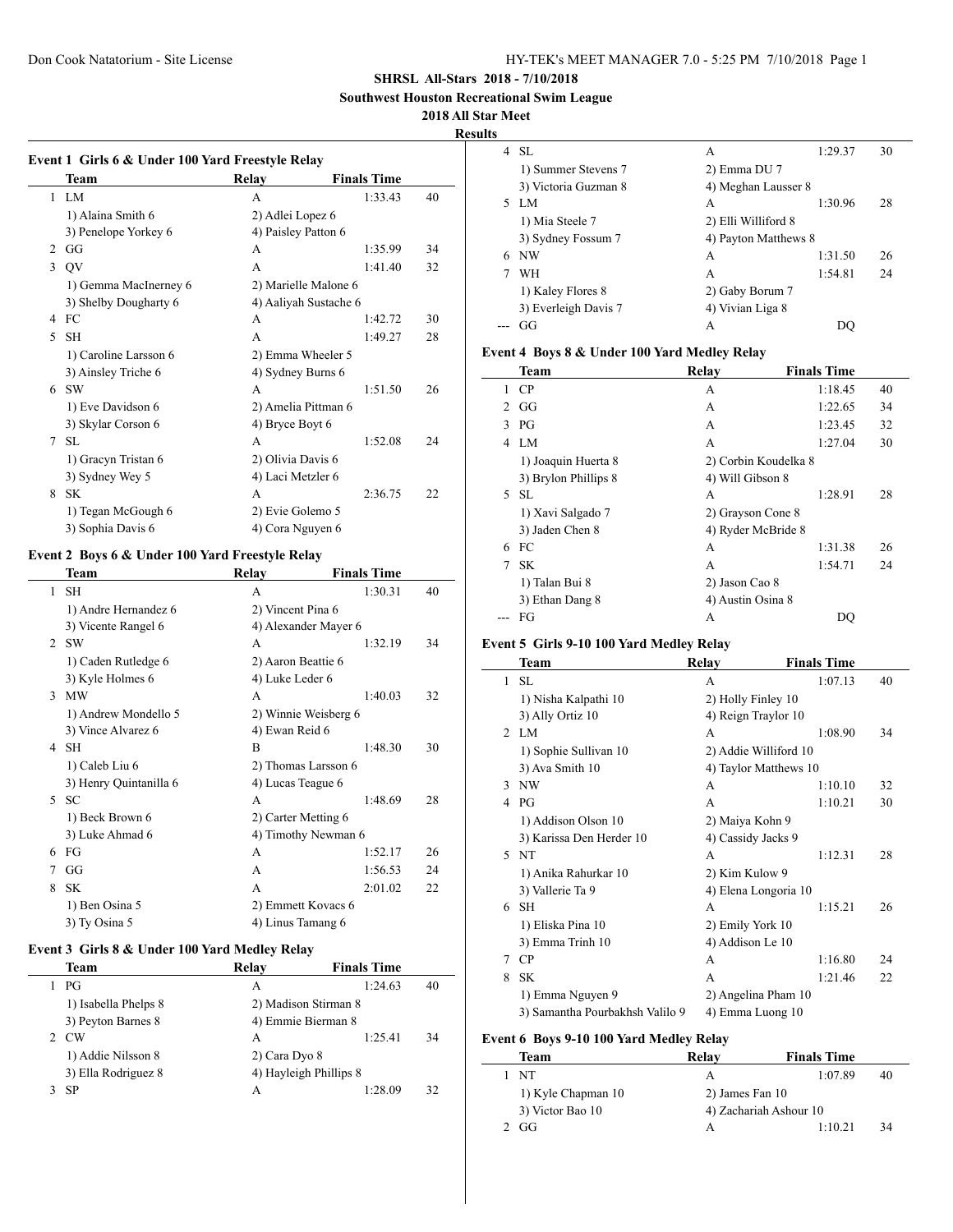**Southwest Houston Recreational Swim League**

**2018 All Star Meet**

#### **Results**

|                | Team                  | Relay               | <b>Finals Time</b>    |    |  |
|----------------|-----------------------|---------------------|-----------------------|----|--|
| $\mathbf{1}$   | - LM                  | A                   | 1:33.43               | 40 |  |
|                | 1) Alaina Smith 6     | 2) Adlei Lopez 6    |                       |    |  |
|                | 3) Penelope Yorkey 6  | 4) Paisley Patton 6 |                       |    |  |
| $\mathfrak{D}$ | GG                    | A                   | 1:35.99               | 34 |  |
| 3              | <b>OV</b>             | A                   | 1:41.40               | 32 |  |
|                | 1) Gemma MacInerney 6 |                     | 2) Marielle Malone 6  |    |  |
|                | 3) Shelby Dougharty 6 |                     | 4) Aaliyah Sustache 6 |    |  |
| 4              | FC                    | A                   | 1:42.72               | 30 |  |
| 5              | <b>SH</b>             | A                   | 1:49.27               | 28 |  |
|                | 1) Caroline Larsson 6 | 2) Emma Wheeler 5   |                       |    |  |
|                | 3) Ainsley Triche 6   | 4) Sydney Burns 6   |                       |    |  |
| 6              | <b>SW</b>             | A                   | 1:51.50               | 26 |  |
|                | 1) Eve Davidson 6     |                     | 2) Amelia Pittman 6   |    |  |
|                | 3) Skylar Corson 6    | 4) Bryce Boyt 6     |                       |    |  |
| 7              | SL                    | A                   | 1:52.08               | 24 |  |
|                | 1) Gracyn Tristan 6   | 2) Olivia Davis 6   |                       |    |  |
|                | 3) Sydney Wey 5       | 4) Laci Metzler 6   |                       |    |  |
| 8              | <b>SK</b>             | A                   | 2:36.75               | 22 |  |
|                | 1) Tegan McGough 6    | 2) Evie Golemo 5    |                       |    |  |
|                | 3) Sophia Davis 6     | 4) Cora Nguyen 6    |                       |    |  |

#### **Event 2 Boys 6 & Under 100 Yard Freestyle Relay**

|        | Team                   | Relay                | <b>Finals Time</b> |    |
|--------|------------------------|----------------------|--------------------|----|
| 1      | <b>SH</b>              | A                    | 1:30.31            | 40 |
|        | 1) Andre Hernandez 6   | 2) Vincent Pina 6    |                    |    |
|        | 3) Vicente Rangel 6    | 4) Alexander Mayer 6 |                    |    |
|        | $2$ SW                 | A                    | 1:32.19            | 34 |
|        | 1) Caden Rutledge 6    | 2) Aaron Beattie 6   |                    |    |
|        | 3) Kyle Holmes 6       | 4) Luke Leder 6      |                    |    |
| 3      | <b>MW</b>              | A                    | 1:40.03            | 32 |
|        | 1) Andrew Mondello 5   | 2) Winnie Weisberg 6 |                    |    |
|        | 3) Vince Alvarez 6     | 4) Ewan Reid 6       |                    |    |
| 4      | <b>SH</b>              | B                    | 1:48.30            | 30 |
|        | 1) Caleb Liu 6         | 2) Thomas Larsson 6  |                    |    |
|        | 3) Henry Quintanilla 6 | 4) Lucas Teague 6    |                    |    |
| $\sim$ | <b>SC</b>              | A                    | 1:48.69            | 28 |
|        | 1) Beck Brown 6        | 2) Carter Metting 6  |                    |    |
|        | 3) Luke Ahmad 6        | 4) Timothy Newman 6  |                    |    |
| 6      | FG                     | A                    | 1:52.17            | 26 |
| 7      | GG                     | A                    | 1:56.53            | 24 |
| 8      | <b>SK</b>              | A                    | 2:01.02            | 22 |
|        | 1) Ben Osina 5         | 2) Emmett Kovacs 6   |                    |    |
|        | 3) Ty Osina 5          | 4) Linus Tamang 6    |                    |    |

## **Event 3 Girls 8 & Under 100 Yard Medley Relay**

| Team |                      | Relav         | <b>Finals Time</b>     |    |
|------|----------------------|---------------|------------------------|----|
| PG   |                      | A             | 1:24.63                | 40 |
|      | 1) Isabella Phelps 8 |               | 2) Madison Stirman 8   |    |
|      | 3) Peyton Barnes 8   |               | 4) Emmie Bierman 8     |    |
| CW   |                      | A             | 1:25.41                | 34 |
|      | 1) Addie Nilsson 8   | 2) Cara Dyo 8 |                        |    |
|      | 3) Ella Rodriguez 8  |               | 4) Hayleigh Phillips 8 |    |
| SP   |                      | А             | 1:28.09                | 32 |
|      |                      |               |                        |    |

| 4  | -SL                  | A                    | 1:29.37 | 30 |
|----|----------------------|----------------------|---------|----|
|    | 1) Summer Stevens 7  | 2) Emma DU 7         |         |    |
|    | 3) Victoria Guzman 8 | 4) Meghan Lausser 8  |         |    |
|    | 5 LM                 | A                    | 1:30.96 | 28 |
|    | 1) Mia Steele 7      | 2) Elli Williford 8  |         |    |
|    | 3) Sydney Fossum 7   | 4) Payton Matthews 8 |         |    |
| 6. | NW                   | A                    | 1:31.50 | 26 |
|    | WH                   | A                    | 1:54.81 | 24 |
|    | 1) Kaley Flores 8    | 2) Gaby Borum 7      |         |    |
|    | 3) Everleigh Davis 7 | 4) Vivian Liga 8     |         |    |
|    | GG                   | А                    |         |    |

#### **Event 4 Boys 8 & Under 100 Yard Medley Relay**

|                | <b>Team</b>          | Relay                | <b>Finals Time</b> |    |
|----------------|----------------------|----------------------|--------------------|----|
| 1              | CP                   | A                    | 1:18.45            | 40 |
| $\mathfrak{D}$ | GG                   | А                    | 1:22.65            | 34 |
| 3              | PG                   | A                    | 1:23.45            | 32 |
| 4              | LM                   | А                    | 1:27.04            | 30 |
|                | 1) Joaquin Huerta 8  | 2) Corbin Koudelka 8 |                    |    |
|                | 3) Brylon Phillips 8 | 4) Will Gibson 8     |                    |    |
| 5              | SL.                  | A                    | 1:28.91            | 28 |
|                | 1) Xavi Salgado 7    | 2) Grayson Cone 8    |                    |    |
|                | 3) Jaden Chen 8      | 4) Ryder McBride 8   |                    |    |
| 6              | FC                   | А                    | 1:31.38            | 26 |
| 7              | <b>SK</b>            | A                    | 1:54.71            | 24 |
|                | 1) Talan Bui 8       | 2) Jason Cao 8       |                    |    |
|                | 3) Ethan Dang 8      | 4) Austin Osina 8    |                    |    |
|                | FG                   | А                    | DO                 |    |

#### **Event 5 Girls 9-10 100 Yard Medley Relay**

|               | Team                            | Relav               | <b>Finals Time</b>    |    |
|---------------|---------------------------------|---------------------|-----------------------|----|
| 1             | <b>SL</b>                       | A                   | 1:07.13               | 40 |
|               | 1) Nisha Kalpathi 10            | 2) Holly Finley 10  |                       |    |
|               | 3) Ally Ortiz 10                | 4) Reign Traylor 10 |                       |    |
| $\mathcal{L}$ | LM.                             | A                   | 1:08.90               | 34 |
|               | 1) Sophie Sullivan 10           |                     | 2) Addie Williford 10 |    |
|               | 3) Ava Smith 10                 |                     | 4) Taylor Matthews 10 |    |
| 3             | NW                              | A                   | 1:10.10               | 32 |
| 4             | PG                              | A                   | 1:10.21               | 30 |
|               | 1) Addison Olson 10             | 2) Maiya Kohn 9     |                       |    |
|               | 3) Karissa Den Herder 10        | 4) Cassidy Jacks 9  |                       |    |
| 5             | NT                              | A                   | 1:12.31               | 28 |
|               | 1) Anika Rahurkar 10            | 2) Kim Kulow 9      |                       |    |
|               | 3) Vallerie Ta 9                |                     | 4) Elena Longoria 10  |    |
| 6             | <b>SH</b>                       | A                   | 1:15.21               | 26 |
|               | 1) Eliska Pina 10               | 2) Emily York 10    |                       |    |
|               | 3) Emma Trinh 10                | 4) Addison Le 10    |                       |    |
| 7             | CP                              | A                   | 1:16.80               | 24 |
| 8             | <b>SK</b>                       | A                   | 1:21.46               | 22 |
|               | 1) Emma Nguyen 9                |                     | 2) Angelina Pham 10   |    |
|               | 3) Samantha Pourbakhsh Valilo 9 | 4) Emma Luong 10    |                       |    |

#### **Event 6 Boys 9-10 100 Yard Medley Relay**

| Team               | Relav           | <b>Finals Time</b>     |    |
|--------------------|-----------------|------------------------|----|
| 1 NT               | А               | 1:07.89                | 40 |
| 1) Kyle Chapman 10 | 2) James Fan 10 |                        |    |
| 3) Victor Bao 10   |                 | 4) Zachariah Ashour 10 |    |
| - GG               |                 | 1:10.21                | 34 |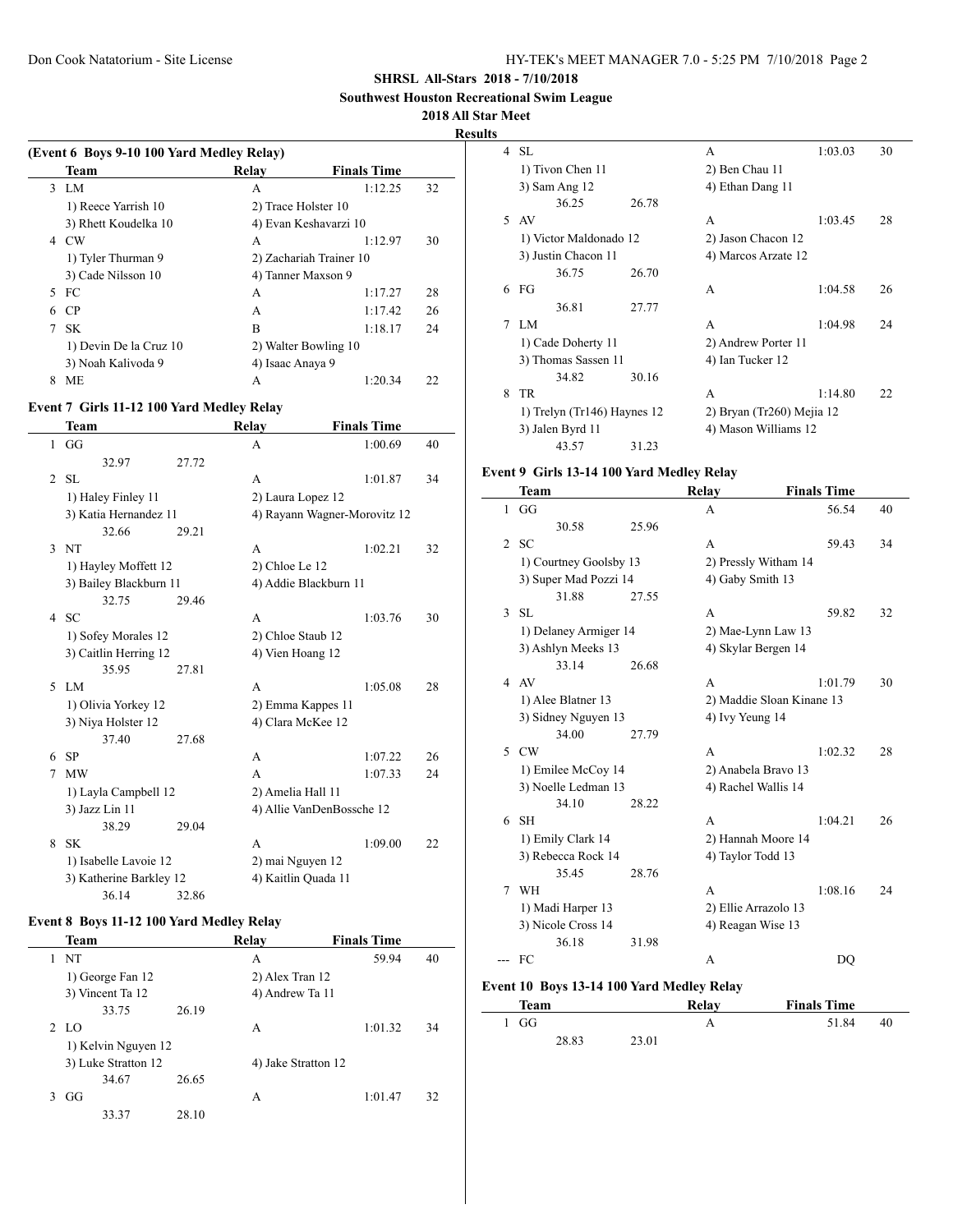**Southwest Houston Recreational Swim League**

#### **2018 All Star Meet**

 $\frac{1}{2}$ 

**Results**

|   | (Event 6 Boys 9-10 100 Yard Medley Relay) |                      |                         |    |  |  |
|---|-------------------------------------------|----------------------|-------------------------|----|--|--|
|   | Team                                      | Relay                | <b>Finals Time</b>      |    |  |  |
|   | 3 LM                                      | A                    | 1:12.25                 | 32 |  |  |
|   | 1) Reece Yarrish 10                       | 2) Trace Holster 10  |                         |    |  |  |
|   | 3) Rhett Koudelka 10                      |                      | 4) Evan Keshavarzi 10   |    |  |  |
| 4 | CW                                        | A                    | 1:12.97                 | 30 |  |  |
|   | 1) Tyler Thurman 9                        |                      | 2) Zachariah Trainer 10 |    |  |  |
|   | 3) Cade Nilsson 10                        | 4) Tanner Maxson 9   |                         |    |  |  |
| 5 | - FC                                      | A                    | 1:17.27                 | 28 |  |  |
| 6 | <b>CP</b>                                 | A                    | 1:17.42                 | 26 |  |  |
| 7 | SK.                                       | B                    | 1:18.17                 | 24 |  |  |
|   | 1) Devin De la Cruz 10                    | 2) Walter Bowling 10 |                         |    |  |  |
|   | 3) Noah Kalivoda 9                        | 4) Isaac Anava 9     |                         |    |  |  |
| 8 | ME                                        | А                    | 1:20.34                 | 22 |  |  |

## **Event 7 Girls 11-12 100 Yard Medley Relay**

|               | Team                    |       | <b>Relay</b>              | <b>Finals Time</b>           |    |
|---------------|-------------------------|-------|---------------------------|------------------------------|----|
| 1             | GG                      |       | A                         | 1:00.69                      | 40 |
|               | 32.97                   | 27.72 |                           |                              |    |
| 2             | SL                      |       | A                         | 1:01.87                      | 34 |
|               | 1) Haley Finley 11      |       | 2) Laura Lopez 12         |                              |    |
|               | 3) Katia Hernandez 11   |       |                           | 4) Rayann Wagner-Morovitz 12 |    |
|               | 32.66                   | 29.21 |                           |                              |    |
| $\mathcal{E}$ | <b>NT</b>               |       | A                         | 1:02.21                      | 32 |
|               | 1) Hayley Moffett 12    |       | 2) Chloe Le 12            |                              |    |
|               | 3) Bailey Blackburn 11  |       | 4) Addie Blackburn 11     |                              |    |
|               | 32.75                   | 29.46 |                           |                              |    |
| 4             | <b>SC</b>               |       | A                         | 1:03.76                      | 30 |
|               | 1) Sofey Morales 12     |       | 2) Chloe Staub 12         |                              |    |
|               | 3) Caitlin Herring 12   |       | 4) Vien Hoang 12          |                              |    |
|               | 35.95                   | 27.81 |                           |                              |    |
| 5             | LM.                     |       | A                         | 1:05.08                      | 28 |
|               | 1) Olivia Yorkey 12     |       | 2) Emma Kappes 11         |                              |    |
|               | 3) Niya Holster 12      |       | 4) Clara McKee 12         |                              |    |
|               | 37.40                   | 27.68 |                           |                              |    |
| 6             | <b>SP</b>               |       | A                         | 1:07.22                      | 26 |
| 7             | <b>MW</b>               |       | A                         | 1:07.33                      | 24 |
|               | 1) Layla Campbell 12    |       | 2) Amelia Hall 11         |                              |    |
|               | 3) Jazz Lin 11          |       | 4) Allie VanDenBossche 12 |                              |    |
|               | 38.29                   | 29.04 |                           |                              |    |
| 8             | <b>SK</b>               |       | A                         | 1:09.00                      | 22 |
|               | 1) Isabelle Lavoie 12   |       | 2) mai Nguyen 12          |                              |    |
|               | 3) Katherine Barkley 12 |       | 4) Kaitlin Quada 11       |                              |    |
|               | 36.14                   | 32.86 |                           |                              |    |

## **Event 8 Boys 11-12 100 Yard Medley Relay**

|   | Team                |       | Relay               | <b>Finals Time</b> |    |
|---|---------------------|-------|---------------------|--------------------|----|
| 1 | NT                  |       | А                   | 59.94              | 40 |
|   | 1) George Fan 12    |       | 2) Alex Tran 12     |                    |    |
|   | 3) Vincent Ta 12    |       | 4) Andrew Ta 11     |                    |    |
|   | 33.75               | 26.19 |                     |                    |    |
|   | 2 LO                |       | А                   | 1:01.32            | 34 |
|   | 1) Kelvin Nguyen 12 |       |                     |                    |    |
|   | 3) Luke Stratton 12 |       | 4) Jake Stratton 12 |                    |    |
|   | 34.67               | 26.65 |                     |                    |    |
| 3 | GG                  |       | А                   | 1:01.47            | 32 |
|   | 33.37               | 28.10 |                     |                    |    |

|   | 4 SL                        |       | А                         | 1:03.03 | 30 |
|---|-----------------------------|-------|---------------------------|---------|----|
|   | 1) Tivon Chen 11            |       | 2) Ben Chau 11            |         |    |
|   | 3) Sam Ang 12               |       | 4) Ethan Dang 11          |         |    |
|   | 36.25                       | 26.78 |                           |         |    |
|   | 5 AV                        |       | A                         | 1:03.45 | 28 |
|   | 1) Victor Maldonado 12      |       | 2) Jason Chacon 12        |         |    |
|   | 3) Justin Chacon 11         |       | 4) Marcos Arzate 12       |         |    |
|   | 36.75                       | 26.70 |                           |         |    |
| 6 | FG                          |       | A                         | 1:04.58 | 26 |
|   | 36.81                       | 27.77 |                           |         |    |
| 7 | LM.                         |       | A                         | 1:04.98 | 24 |
|   | 1) Cade Doherty 11          |       | 2) Andrew Porter 11       |         |    |
|   | 3) Thomas Sassen 11         |       | 4) Ian Tucker 12          |         |    |
|   | 34.82                       | 30.16 |                           |         |    |
| 8 | TR                          |       | A                         | 1:14.80 | 22 |
|   | 1) Trelyn (Tr146) Haynes 12 |       | 2) Bryan (Tr260) Mejia 12 |         |    |
|   | 3) Jalen Byrd 11            |       | 4) Mason Williams 12      |         |    |
|   | 43.57                       | 31.23 |                           |         |    |

## **Event 9 Girls 13-14 100 Yard Medley Relay**

|   | Team                   |       | Relay                     | <b>Finals Time</b> |    |
|---|------------------------|-------|---------------------------|--------------------|----|
| 1 | GG                     |       | A                         | 56.54              | 40 |
|   | 30.58                  | 25.96 |                           |                    |    |
| 2 | -SC                    |       | A                         | 59.43              | 34 |
|   | 1) Courtney Goolsby 13 |       | 2) Pressly Witham 14      |                    |    |
|   | 3) Super Mad Pozzi 14  |       | 4) Gaby Smith 13          |                    |    |
|   | 31.88                  | 27.55 |                           |                    |    |
| 3 | SL.                    |       | A                         | 59.82              | 32 |
|   | 1) Delaney Armiger 14  |       | 2) Mae-Lynn Law 13        |                    |    |
|   | 3) Ashlyn Meeks 13     |       | 4) Skylar Bergen 14       |                    |    |
|   | 33.14                  | 26.68 |                           |                    |    |
| 4 | AV                     |       | A                         | 1:01.79            | 30 |
|   | 1) Alee Blatner 13     |       | 2) Maddie Sloan Kinane 13 |                    |    |
|   | 3) Sidney Nguyen 13    |       | 4) Ivy Yeung 14           |                    |    |
|   | 34.00                  | 27.79 |                           |                    |    |
| 5 | <b>CW</b>              |       | A                         | 1:02.32            | 28 |
|   | 1) Emilee McCoy 14     |       | 2) Anabela Bravo 13       |                    |    |
|   | 3) Noelle Ledman 13    |       | 4) Rachel Wallis 14       |                    |    |
|   | 34.10                  | 28.22 |                           |                    |    |
| 6 | <b>SH</b>              |       | A                         | 1:04.21            | 26 |
|   | 1) Emily Clark 14      |       | 2) Hannah Moore 14        |                    |    |
|   | 3) Rebecca Rock 14     |       | 4) Taylor Todd 13         |                    |    |
|   | 35.45                  | 28.76 |                           |                    |    |
| 7 | <b>WH</b>              |       | A                         | 1:08.16            | 24 |
|   | 1) Madi Harper 13      |       | 2) Ellie Arrazolo 13      |                    |    |
|   | 3) Nicole Cross 14     |       | 4) Reagan Wise 13         |                    |    |
|   | 36.18                  | 31.98 |                           |                    |    |
|   | FC                     |       | A                         | DO                 |    |
|   |                        |       |                           |                    |    |

# **Event 10 Boys 13-14 100 Yard Medley Relay**

| Team |       |       | Relay | <b>Finals Time</b> |    |
|------|-------|-------|-------|--------------------|----|
| 1 GG |       |       |       | 51.84              | 40 |
|      | 28.83 | 23.01 |       |                    |    |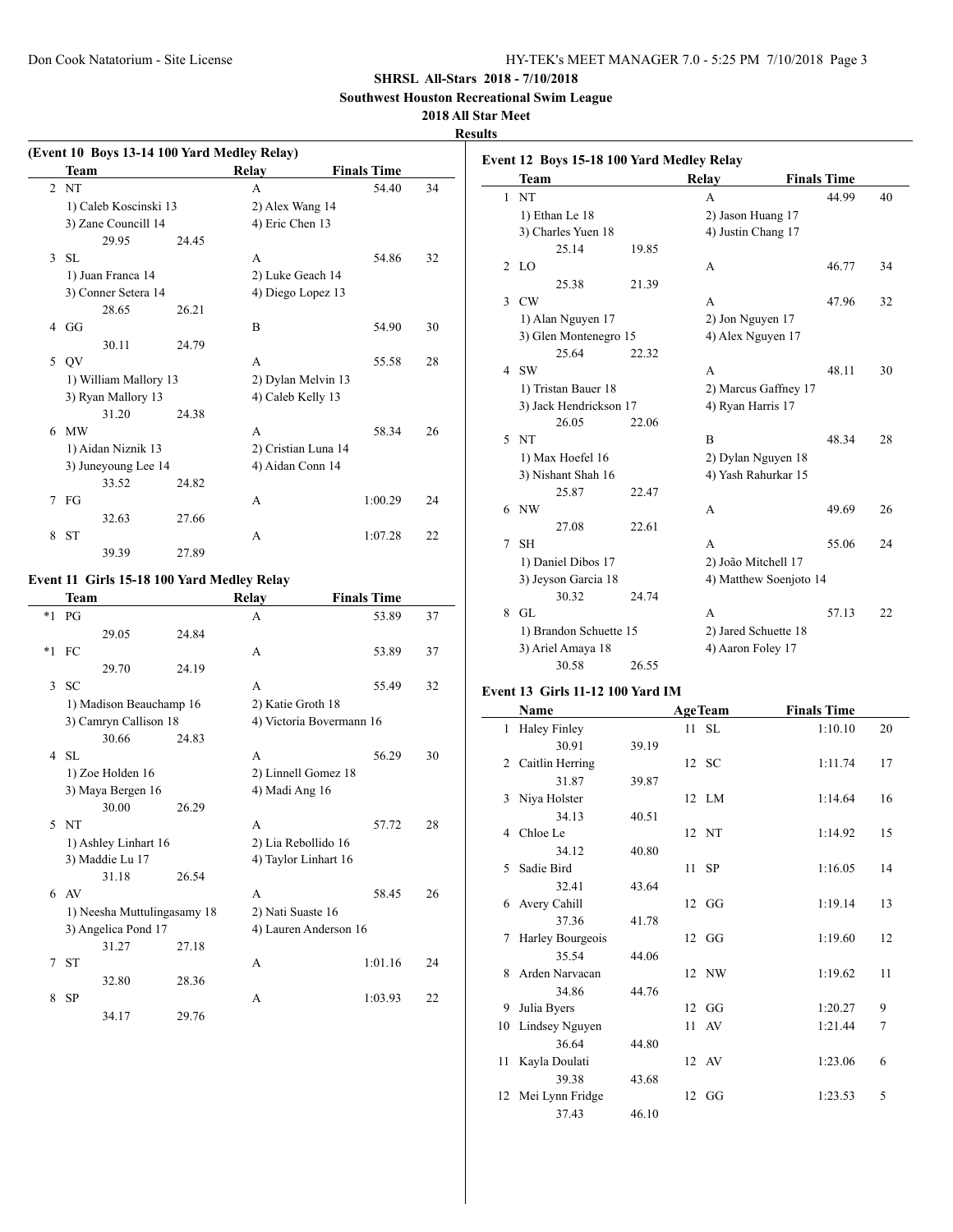**Southwest Houston Recreational Swim League**

# **2018 All Star Meet**

**Results**

 $\overline{\phantom{0}}$ 

|               | (Event 10 Boys 13-14 100 Yard Medley Relay) |       |                     |                    |    |
|---------------|---------------------------------------------|-------|---------------------|--------------------|----|
|               | <b>Team</b>                                 |       | Relay               | <b>Finals Time</b> |    |
|               | 2NT                                         |       | A                   | 54.40              | 34 |
|               | 1) Caleb Koscinski 13                       |       | 2) Alex Wang 14     |                    |    |
|               | 3) Zane Councill 14                         |       | 4) Eric Chen 13     |                    |    |
|               | 29.95                                       | 24 45 |                     |                    |    |
| $\mathcal{F}$ | -SL                                         |       | A                   | 54.86              | 32 |
|               | 1) Juan Franca 14                           |       | 2) Luke Geach 14    |                    |    |
|               | 3) Conner Setera 14                         |       | 4) Diego Lopez 13   |                    |    |
|               | 28.65                                       | 26.21 |                     |                    |    |
| 4             | GG                                          |       | B                   | 54.90              | 30 |
|               | 30.11                                       | 24.79 |                     |                    |    |
| 5             | <b>OV</b>                                   |       | A                   | 55.58              | 28 |
|               | 1) William Mallory 13                       |       | 2) Dylan Melvin 13  |                    |    |
|               | 3) Ryan Mallory 13                          |       | 4) Caleb Kelly 13   |                    |    |
|               | 31.20                                       | 24.38 |                     |                    |    |
| 6             | <b>MW</b>                                   |       | A                   | 58.34              | 26 |
|               | 1) Aidan Niznik 13                          |       | 2) Cristian Luna 14 |                    |    |
|               | 3) Juneyoung Lee 14                         |       | 4) Aidan Conn 14    |                    |    |
|               | 33.52                                       | 24.82 |                     |                    |    |
| 7             | FG                                          |       | A                   | 1:00.29            | 24 |
|               | 32.63                                       | 27.66 |                     |                    |    |
| 8             | <b>ST</b>                                   |       | A                   | 1:07.28            | 22 |
|               | 39.39                                       | 27.89 |                     |                    |    |
|               |                                             |       |                     |                    |    |

# **Event 11 Girls 15-18 100 Yard Medley Relay**

 $\overline{a}$ 

|    | <b>Team</b>                 |       | Relay                    | <b>Finals Time</b> |    |
|----|-----------------------------|-------|--------------------------|--------------------|----|
| *1 | PG                          |       | A                        | 53.89              | 37 |
|    | 29.05                       | 24.84 |                          |                    |    |
|    | $*1$ FC                     |       | A                        | 53.89              | 37 |
|    | 29.70                       | 24.19 |                          |                    |    |
| 3  | <b>SC</b>                   |       | A                        | 55.49              | 32 |
|    | 1) Madison Beauchamp 16     |       | 2) Katie Groth 18        |                    |    |
|    | 3) Camryn Callison 18       |       | 4) Victoria Bovermann 16 |                    |    |
|    | 30.66                       | 24.83 |                          |                    |    |
| 4  | -SL                         |       | A                        | 56.29              | 30 |
|    | 1) Zoe Holden 16            |       | 2) Linnell Gomez 18      |                    |    |
|    | 3) Maya Bergen 16           |       | 4) Madi Ang 16           |                    |    |
|    | 30.00                       | 26.29 |                          |                    |    |
| 5  | <b>NT</b>                   |       | A                        | 57.72              | 28 |
|    | 1) Ashley Linhart 16        |       | 2) Lia Rebollido 16      |                    |    |
|    | 3) Maddie Lu 17             |       | 4) Taylor Linhart 16     |                    |    |
|    | 31.18                       | 26.54 |                          |                    |    |
|    | $6$ AV                      |       | A                        | 58.45              | 26 |
|    | 1) Neesha Muttulingasamy 18 |       | 2) Nati Suaste 16        |                    |    |
|    | 3) Angelica Pond 17         |       | 4) Lauren Anderson 16    |                    |    |
|    | 31.27                       | 27.18 |                          |                    |    |
| 7  | <b>ST</b>                   |       | A                        | 1:01.16            | 24 |
|    | 32.80                       | 28.36 |                          |                    |    |
| 8  | <b>SP</b>                   |       | A                        | 1:03.93            | 22 |
|    | 34.17                       | 29.76 |                          |                    |    |
|    |                             |       |                          |                    |    |

|               | Event 12 Boys 15-18 100 Yard Medley Relay |       |                      |                        |    |
|---------------|-------------------------------------------|-------|----------------------|------------------------|----|
|               | Team                                      |       | Relay                | <b>Finals Time</b>     |    |
| $\mathbf{1}$  | <b>NT</b>                                 |       | A                    | 44.99                  | 40 |
|               | 1) Ethan Le 18                            |       | 2) Jason Huang 17    |                        |    |
|               | 3) Charles Yuen 18                        |       | 4) Justin Chang 17   |                        |    |
|               | 25.14                                     | 19.85 |                      |                        |    |
| 2             | LO.                                       |       | A                    | 46.77                  | 34 |
|               | 25.38                                     | 21.39 |                      |                        |    |
| $\mathcal{F}$ | <b>CW</b>                                 |       | A                    | 47.96                  | 32 |
|               | 1) Alan Nguyen 17                         |       | 2) Jon Nguyen 17     |                        |    |
|               | 3) Glen Montenegro 15                     |       | 4) Alex Nguyen 17    |                        |    |
|               | 25.64                                     | 22.32 |                      |                        |    |
|               | 4 SW                                      |       | A                    | 48.11                  | 30 |
|               | 1) Tristan Bauer 18                       |       |                      | 2) Marcus Gaffney 17   |    |
|               | 3) Jack Hendrickson 17                    |       | 4) Ryan Harris 17    |                        |    |
|               | 26.05                                     | 22.06 |                      |                        |    |
|               | 5 NT                                      |       | B                    | 48.34                  | 28 |
|               | 1) Max Hoefel 16                          |       | 2) Dylan Nguyen 18   |                        |    |
|               | 3) Nishant Shah 16                        |       | 4) Yash Rahurkar 15  |                        |    |
|               | 25.87                                     | 22.47 |                      |                        |    |
| 6             | NW                                        |       | A                    | 49.69                  | 26 |
|               | 27.08                                     | 22.61 |                      |                        |    |
| 7             | <b>SH</b>                                 |       | A                    | 55.06                  | 24 |
|               | 1) Daniel Dibos 17                        |       | 2) João Mitchell 17  |                        |    |
|               | 3) Jeyson Garcia 18                       |       |                      | 4) Matthew Soenjoto 14 |    |
|               | 30.32                                     | 24.74 |                      |                        |    |
| 8             | GL.                                       |       | A                    | 57.13                  | 22 |
|               | 1) Brandon Schuette 15                    |       | 2) Jared Schuette 18 |                        |    |
|               | 3) Ariel Amaya 18                         |       | 4) Aaron Foley 17    |                        |    |
|               | 30.58                                     | 26.55 |                      |                        |    |
|               |                                           |       |                      |                        |    |

#### **Event 13 Girls 11-12 100 Yard IM**

|              | Name                |       | <b>AgeTeam</b> | <b>Finals Time</b> |    |
|--------------|---------------------|-------|----------------|--------------------|----|
| $\mathbf{1}$ | <b>Haley Finley</b> |       | $11$ SL        | 1:10.10            | 20 |
|              | 30.91               | 39.19 |                |                    |    |
|              | 2 Caitlin Herring   |       | 12 SC          | 1:11.74            | 17 |
|              | 31.87               | 39.87 |                |                    |    |
|              | 3 Niya Holster      |       | 12 LM          | 1:14.64            | 16 |
|              | 34.13               | 40.51 |                |                    |    |
|              | 4 Chloe Le          |       | 12 NT          | 1:14.92            | 15 |
|              | 34.12               | 40.80 |                |                    |    |
|              | 5 Sadie Bird        |       | 11 SP          | 1:16.05            | 14 |
|              | 32.41               | 43.64 |                |                    |    |
|              | 6 Avery Cahill      |       | $12 \text{ G}$ | 1:19.14            | 13 |
|              | 37.36               | 41.78 |                |                    |    |
| 7            | Harley Bourgeois    |       | $12 \text{ G}$ | 1:19.60            | 12 |
|              | 35.54               | 44.06 |                |                    |    |
|              | 8 Arden Narvacan    |       | 12 NW          | 1:19.62            | 11 |
|              | 34.86               | 44.76 |                |                    |    |
| 9            | Julia Byers         |       | $12 \text{ G}$ | 1:20.27            | 9  |
|              | 10 Lindsey Nguyen   |       | 11 AV          | 1:21.44            | 7  |
|              | 36.64               | 44.80 |                |                    |    |
|              | 11 Kayla Doulati    |       | 12 AV          | 1:23.06            | 6  |
|              | 39.38               | 43.68 |                |                    |    |
|              | 12 Mei Lynn Fridge  |       | $12 \text{ G}$ | 1:23.53            | 5  |
|              | 37.43               | 46.10 |                |                    |    |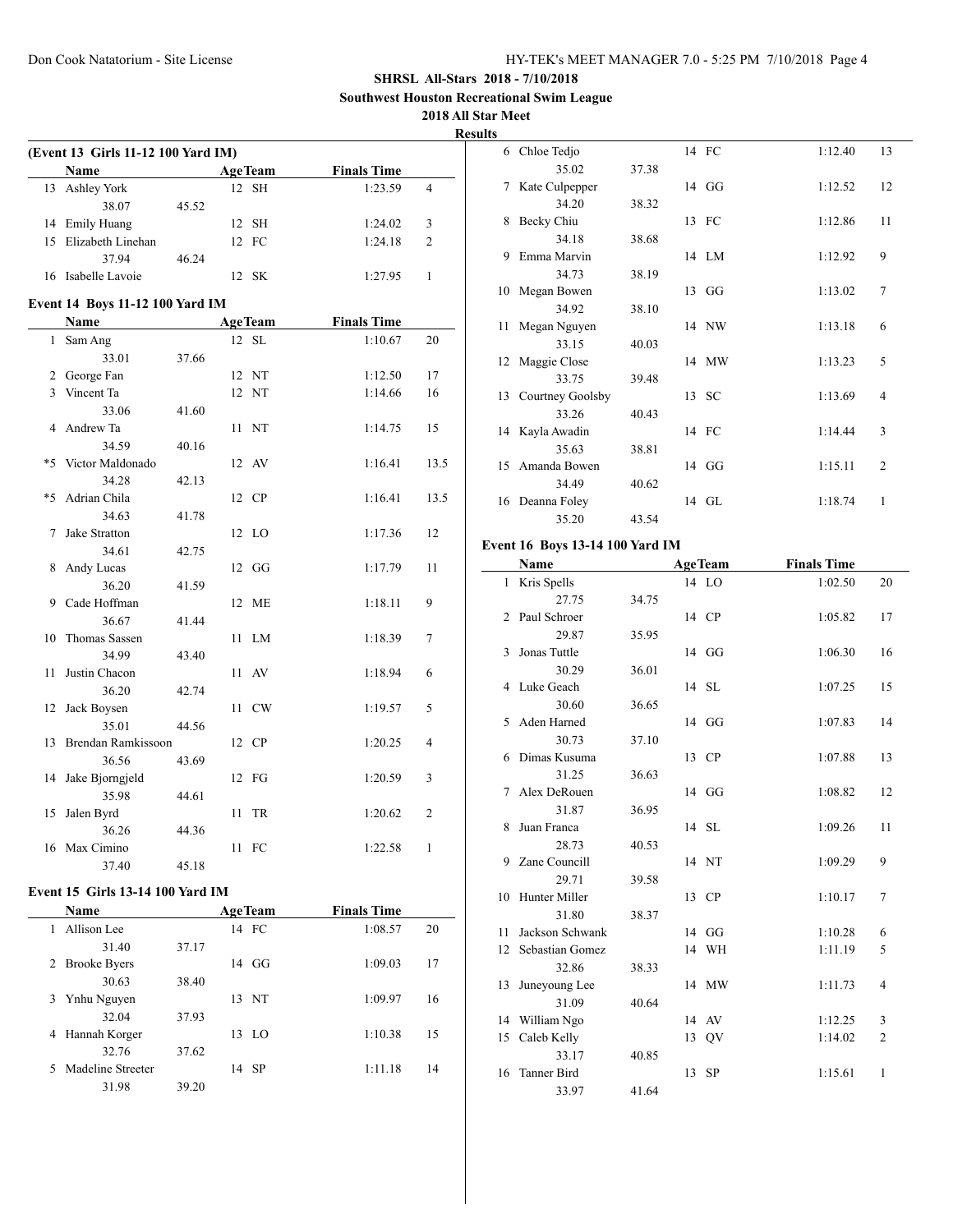**Southwest Houston Recreational Swim League**

#### **2018 All Star Meet**

 $\overline{\phantom{a}}$ 

**Results**

|              | (Event 13 Girls 11-12 100 Yard IM)<br>Name |       |    | <b>AgeTeam</b>          | <b>Finals Time</b> |                |
|--------------|--------------------------------------------|-------|----|-------------------------|--------------------|----------------|
| 13           | Ashley York                                |       |    | 12 SH                   | 1:23.59            | 4              |
|              | 38.07                                      | 45.52 |    |                         |                    |                |
|              |                                            |       |    | 12 SH                   | 1:24.02            | 3              |
| 15           | 14 Emily Huang<br>Elizabeth Linehan        |       | 12 | FC                      | 1:24.18            | 2              |
|              |                                            |       |    |                         |                    |                |
|              | 37.94                                      | 46.24 |    |                         |                    |                |
|              | 16 Isabelle Lavoie                         |       |    | 12 SK                   | 1:27.95            | 1              |
|              | <b>Event 14 Boys 11-12 100 Yard IM</b>     |       |    |                         |                    |                |
|              | Name                                       |       |    | <b>AgeTeam</b>          | <b>Finals Time</b> |                |
| $\mathbf{1}$ | Sam Ang                                    |       |    | 12 SL                   | 1:10.67            | 20             |
|              | 33.01                                      | 37.66 |    |                         |                    |                |
| 2            | George Fan                                 |       |    | 12 NT                   | 1:12.50            | 17             |
|              | 3 Vincent Ta                               |       | 12 | NT                      | 1:14.66            | 16             |
|              | 33.06                                      | 41.60 |    |                         |                    |                |
| 4            | Andrew Ta                                  |       | 11 | NT                      | 1:14.75            | 15             |
|              | 34.59                                      | 40.16 |    |                         |                    |                |
| *5           | Victor Maldonado                           |       |    | 12 AV                   | 1:16.41            | 13.5           |
|              | 34.28                                      | 42.13 |    |                         |                    |                |
| *5           | Adrian Chila                               |       |    | 12 CP                   | 1:16.41            | 13.5           |
|              | 34.63                                      | 41.78 |    |                         |                    |                |
| 7            | Jake Stratton                              |       |    | 12 LO                   | 1:17.36            | 12             |
|              | 34.61                                      | 42.75 |    |                         |                    |                |
| 8            | Andy Lucas                                 |       |    | $12 \text{ G}$          | 1:17.79            | 11             |
|              | 36.20                                      | 41.59 |    |                         |                    |                |
| 9            | Cade Hoffman                               |       |    | 12 ME                   | 1:18.11            | 9              |
|              | 36.67                                      | 41.44 |    |                         |                    |                |
| 10           | Thomas Sassen                              |       | 11 | LM                      | 1:18.39            | 7              |
|              | 34.99                                      | 43.40 |    |                         |                    |                |
| 11           | Justin Chacon                              |       | 11 | AV                      | 1:18.94            | 6              |
|              | 36.20                                      | 42.74 |    |                         |                    |                |
| 12           | Jack Boysen                                |       |    | 11 CW                   | 1:19.57            | 5              |
|              | 35.01                                      | 44.56 |    |                         |                    |                |
| 13           | Brendan Ramkissoon                         |       |    | 12 CP                   | 1:20.25            | 4              |
|              | 36.56                                      | 43.69 |    |                         |                    |                |
| 14           | Jake Bjorngjeld                            |       |    | 12 FG                   | 1:20.59            | 3              |
|              | 35.98                                      | 44.61 |    |                         |                    |                |
| 15           | Jalen Byrd                                 |       | 11 | TR                      | 1:20.62            | $\overline{c}$ |
|              |                                            |       |    |                         |                    |                |
|              | 36.26                                      | 44.36 |    |                         |                    |                |
|              | 16 Max Cimino<br>37.40                     | 45.18 |    | 11 FC                   | 1:22.58            | 1              |
|              |                                            |       |    |                         |                    |                |
|              | <b>Event 15 Girls 13-14 100 Yard IM</b>    |       |    |                         |                    |                |
|              | Name                                       |       |    | <b>AgeTeam</b><br>14 FC | <b>Finals Time</b> |                |
| 1            | Allison Lee                                |       |    |                         | 1:08.57            | 20             |
|              | 31.40                                      | 37.17 |    |                         |                    |                |
|              | 2 Brooke Byers                             |       |    | 14 GG                   | 1:09.03            | 17             |
|              | 30.63                                      | 38.40 |    |                         |                    |                |

3 Ynhu Nguyen 13 NT 1:09.97 16

4 Hannah Korger 13 LO 1:10.38 15

5 Madeline Streeter 14 SP 1:11.18 14

32.04 37.93

32.76 37.62

31.98 39.20

| lts |                                        |       |                |                    |                |
|-----|----------------------------------------|-------|----------------|--------------------|----------------|
|     | 6 Chloe Tedjo                          |       | 14 FC          | 1:12.40            | 13             |
|     | 35.02                                  | 37.38 |                |                    |                |
| 7   | Kate Culpepper                         |       | 14 GG          | 1:12.52            | 12             |
|     | 34.20                                  | 38.32 |                |                    |                |
| 8   | Becky Chiu                             |       | 13 FC          | 1:12.86            | 11             |
|     | 34.18                                  | 38.68 |                |                    |                |
| 9   | Emma Marvin                            |       | 14 LM          | 1:12.92            | 9              |
|     | 34.73                                  | 38.19 |                |                    |                |
|     | 10 Megan Bowen                         |       | 13 GG          | 1:13.02            | 7              |
|     | 34.92                                  | 38.10 |                |                    |                |
| 11  | Megan Nguyen                           |       | 14 NW          | 1:13.18            | 6              |
|     | 33.15                                  | 40.03 |                |                    |                |
|     | 12 Maggie Close                        |       | 14 MW          | 1:13.23            | 5              |
|     | 33.75                                  | 39.48 |                |                    |                |
|     | 13 Courtney Goolsby                    |       | 13 SC          | 1:13.69            | 4              |
|     | 33.26                                  | 40.43 |                |                    |                |
|     | 14 Kayla Awadin                        |       | 14 FC          | 1:14.44            | 3              |
|     | 35.63                                  | 38.81 |                |                    |                |
|     | 15 Amanda Bowen                        |       | 14 GG          | 1:15.11            | $\overline{2}$ |
|     | 34.49                                  | 40.62 |                |                    |                |
|     | 16 Deanna Foley                        |       | 14 GL          | 1:18.74            | 1              |
|     | 35.20                                  | 43.54 |                |                    |                |
|     | <b>Event 16 Boys 13-14 100 Yard IM</b> |       |                |                    |                |
|     | Name                                   |       | <b>AgeTeam</b> | <b>Finals Time</b> |                |
|     | 1 Kris Spells                          |       | 14 LO          | 1:02.50            | 20             |
|     | 27.75                                  | 34.75 |                |                    |                |
| 2   | Paul Schroer                           |       | 14 CP          | 1:05.82            | 17             |
|     | 29.87                                  | 35.95 |                |                    |                |
| 3   | Jonas Tuttle                           |       | 14 GG          | 1:06.30            | 16             |
|     | 30.29                                  | 36.01 |                |                    |                |

4 Luke Geach 14 SL 1:07.25 15

5 Aden Harned 14 GG 1:07.83 14

6 Dimas Kusuma 13 CP 1:07.88 13

7 Alex DeRouen 14 GG 1:08.82 12

8 Juan Franca 14 SL 1:09.26 11

9 Zane Councill 14 NT 1:09.29 9

10 Hunter Miller 13 CP 1:10.17 7

11 Jackson Schwank 14 GG 1:10.28 6 12 Sebastian Gomez 14 WH 1:11.19 5

13 Juneyoung Lee 14 MW 1:11.73 4

14 William Ngo 14 AV 1:12.25 3 15 Caleb Kelly 13 QV 1:14.02 2

16 Tanner Bird 13 SP 1:15.61 1

30.60 36.65

30.73 37.10

31.25 36.63

31.87 36.95

28.73 40.53

29.71 39.58

31.80 38.37

32.86 38.33

31.09 40.64

33.17 40.85

33.97 41.64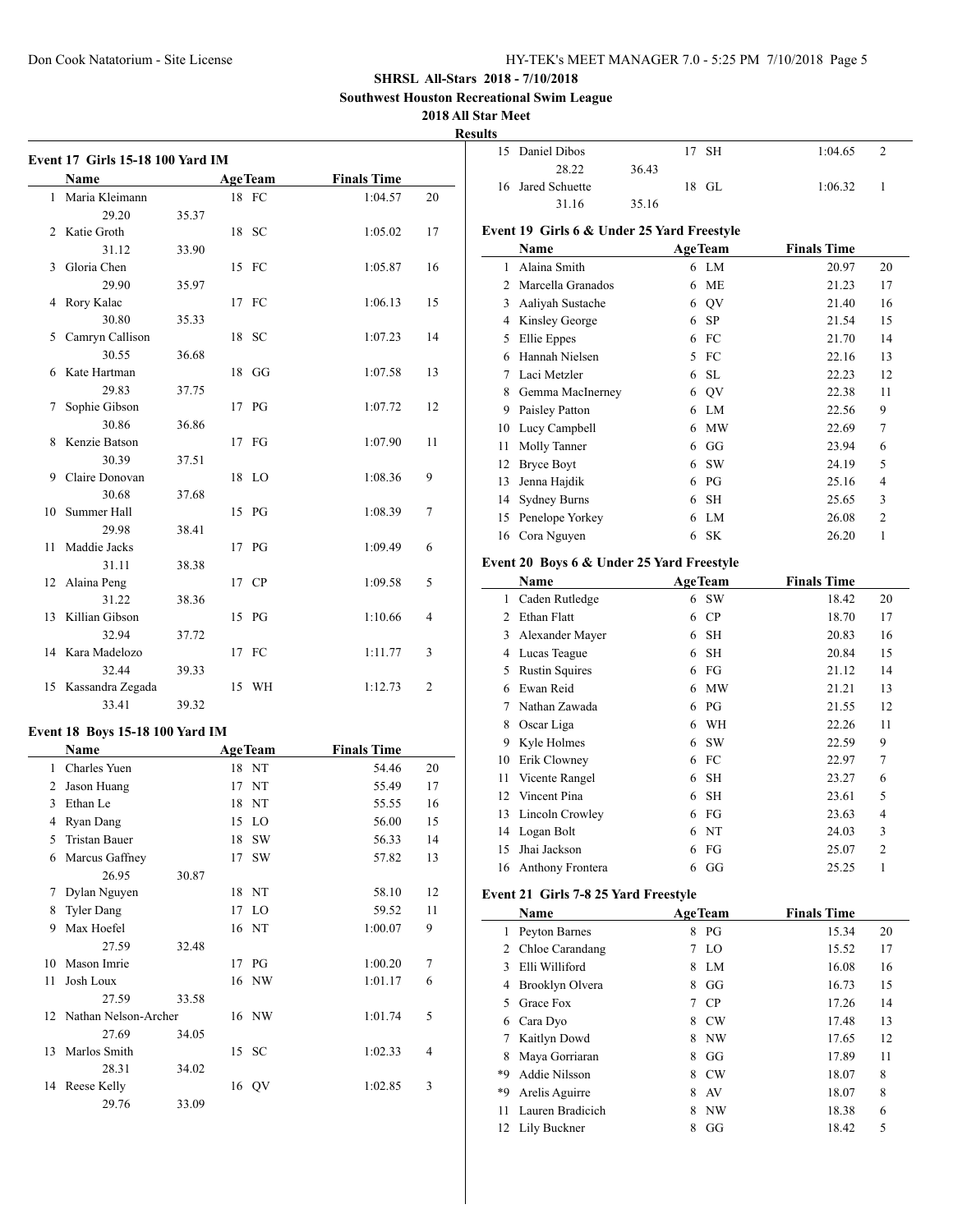**Southwest Houston Recreational Swim League**

## **2018 All Star**

**Results**

|    | <b>Event 17 Girls 15-18 100 Yard IM</b> |       |    |                |                    |                |
|----|-----------------------------------------|-------|----|----------------|--------------------|----------------|
|    | Name                                    |       |    | <b>AgeTeam</b> | <b>Finals Time</b> |                |
|    | 1 Maria Kleimann                        |       |    | 18 FC          | 1:04.57            | 20             |
|    | 29.20                                   | 35.37 |    |                |                    |                |
| 2  | Katie Groth                             |       | 18 | - SC           | 1:05.02            | 17             |
|    | 31.12                                   | 33.90 |    |                |                    |                |
| 3  | Gloria Chen                             |       |    | 15 FC          | 1:05.87            | 16             |
|    | 29.90                                   | 35.97 |    |                |                    |                |
| 4  | Rory Kalac                              |       |    | 17 FC          | 1:06.13            | 15             |
|    | 30.80                                   | 35.33 |    |                |                    |                |
| 5  | Camryn Callison                         |       | 18 | - SC           | 1:07.23            | 14             |
|    | 30.55                                   | 36.68 |    |                |                    |                |
| 6  | Kate Hartman                            |       | 18 | GG             | 1:07.58            | 13             |
|    | 29.83                                   | 37.75 |    |                |                    |                |
| 7  | Sophie Gibson                           |       |    | 17 PG          | 1:07.72            | 12             |
|    | 30.86                                   | 36.86 |    |                |                    |                |
| 8  | Kenzie Batson                           |       |    | 17 FG          | 1:07.90            | 11             |
|    | 30.39                                   | 37.51 |    |                |                    |                |
| 9  | Claire Donovan                          |       | 18 | LO             | 1:08.36            | 9              |
|    | 30.68                                   | 37.68 |    |                |                    |                |
| 10 | Summer Hall                             |       | 15 | PG             | 1:08.39            | 7              |
|    | 29.98                                   | 38.41 |    |                |                    |                |
| 11 | Maddie Jacks                            |       |    | 17 PG          | 1:09.49            | 6              |
|    | 31.11                                   | 38.38 |    |                |                    |                |
| 12 | Alaina Peng                             |       |    | 17 CP          | 1:09.58            | 5              |
|    | 31.22                                   | 38.36 |    |                |                    |                |
| 13 | Killian Gibson                          |       |    | 15 PG          | 1:10.66            | 4              |
|    | 32.94                                   | 37.72 |    |                |                    |                |
| 14 | Kara Madelozo                           |       |    | 17 FC          | 1:11.77            | 3              |
|    | 32.44                                   | 39.33 |    |                |                    |                |
|    | 15 Kassandra Zegada                     |       |    | 15 WH          | 1:12.73            | $\overline{c}$ |
|    | 33.41                                   | 39.32 |    |                |                    |                |
|    |                                         |       |    |                |                    |                |
|    | Event 18 Boys 15-18 100 Yard IM         |       |    |                |                    |                |
|    | Name                                    |       |    | <b>AgeTeam</b> | <b>Finals Time</b> |                |
| 1  | Charles Yuen                            |       |    | 18 NT          | 54.46              | 20             |
| 2  | Jason Huang                             |       |    | 17 NT          | 55.49              | 17             |
| 3  | Ethan Le                                |       |    | 18 NT          | 55.55              | 16             |
|    | 4 Ryan Dang                             |       |    | 15 LO          | 56.00              | 15             |
|    | 5 Tristan Bauer                         |       |    | 18 SW          | 56.33              | 14             |
| 6  | Marcus Gaffney                          |       | 17 | <b>SW</b>      | 57.82              | 13             |
|    | 26.95                                   | 30.87 |    |                |                    |                |
| 7  | Dylan Nguyen                            |       |    | 18 NT          | 58.10              | 12             |
| 8  | <b>Tyler Dang</b>                       |       | 17 | LO             | 59.52              | 11             |
| 9  | Max Hoefel                              |       | 16 | NT             | 1:00.07            | 9              |
|    | 27.59                                   | 32.48 |    |                |                    |                |
| 10 | Mason Imrie                             |       | 17 | PG             | 1:00.20            | 7              |
| 11 | Josh Loux                               |       | 16 | <b>NW</b>      | 1:01.17            | 6              |
|    | 27.59                                   | 33.58 |    |                |                    |                |
| 12 | Nathan Nelson-Archer                    |       | 16 | <b>NW</b>      | 1:01.74            | 5              |
|    | 27.69                                   | 34.05 |    |                |                    |                |
| 13 | Marlos Smith                            |       | 15 | <b>SC</b>      | 1:02.33            | 4              |
|    | 28.31                                   | 34.02 |    |                |                    |                |
| 14 | Reese Kelly                             |       |    | 16 QV          | 1:02.85            | 3              |
|    | 29.76                                   | 33.09 |    |                |                    |                |

| tar Meet   |                                            |       |    |                                    |                    |                |
|------------|--------------------------------------------|-------|----|------------------------------------|--------------------|----------------|
| ılts<br>15 | Daniel Dibos                               |       | 17 | SН                                 | 1:04.65            | $\overline{2}$ |
|            | 28.22                                      | 36.43 |    |                                    |                    |                |
| 16         | Jared Schuette                             |       |    | 18 GL                              | 1:06.32            | 1              |
|            | 31.16                                      | 35.16 |    |                                    |                    |                |
|            |                                            |       |    |                                    |                    |                |
|            | Event 19 Girls 6 & Under 25 Yard Freestyle |       |    |                                    |                    |                |
|            | Name                                       |       |    | <b>AgeTeam</b>                     | <b>Finals Time</b> |                |
| 1          | Alaina Smith                               |       |    | 6 LM                               | 20.97              | 20             |
| 2          | Marcella Granados                          |       | 6  | <b>ME</b>                          | 21.23              | 17             |
|            | 3 Aaliyah Sustache                         |       |    | 6 QV                               | 21.40              | 16             |
|            | 4 Kinsley George                           |       |    | 6 SP                               | 21.54              | 15             |
| 5          | Ellie Eppes                                |       |    | 6 FC                               | 21.70              | 14             |
| 6          | Hannah Nielsen                             |       | 5  | FC                                 | 22.16              | 13             |
| 7          | Laci Metzler                               |       | 6  | <b>SL</b>                          | 22.23              | 12             |
| 8          | Gemma MacInerney                           |       |    | 6 QV                               | 22.38              | 11             |
| 9          | Paisley Patton                             |       |    | 6 LM                               | 22.56              | 9              |
| 10         | Lucy Campbell                              |       |    | 6 MW                               | 22.69              | 7              |
| 11         | Molly Tanner                               |       |    | 6 GG                               | 23.94              | 6              |
| 12         | <b>Bryce Boyt</b>                          |       |    | 6 SW                               | 24.19              | 5              |
| 13         | Jenna Hajdik                               |       |    | $6P$ G                             | 25.16              | 4              |
|            | 14 Sydney Burns                            |       | 6  | <b>SH</b>                          | 25.65              | 3              |
| 15         | Penelope Yorkey                            |       | 6  | LM                                 | 26.08              | $\overline{2}$ |
| 16         | Cora Nguyen                                |       | 6  | <b>SK</b>                          | 26.20              | 1              |
|            | Event 20 Boys 6 & Under 25 Yard Freestyle  |       |    |                                    |                    |                |
|            | Name                                       |       |    | <b>AgeTeam</b>                     | <b>Finals Time</b> |                |
| 1          | Caden Rutledge                             |       |    | 6 SW                               | 18.42              | 20             |
| 2          | Ethan Flatt                                |       |    | 6 CP                               | 18.70              | 17             |
| 3          | Alexander Mayer                            |       | 6  | <b>SH</b>                          | 20.83              | 16             |
|            | 4 Lucas Teague                             |       | 6  | <b>SH</b>                          | 20.84              | 15             |
| 5          | <b>Rustin Squires</b>                      |       |    | 6 FG                               | 21.12              | 14             |
|            | 6 Ewan Reid                                |       |    | 6 MW                               | 21.21              | 13             |
| 7          | Nathan Zawada                              |       |    | 6 PG                               | 21.55              | 12             |
|            | 8 Oscar Liga                               |       | 6  | WH                                 | 22.26              | 11             |
| 9          | Kyle Holmes                                |       |    | 6 SW                               | 22.59              | 9              |
| 10         | Erik Clowney                               |       |    | 6 FC                               | 22.97              | 7              |
| 11         | Vicente Rangel                             |       | 6  | SН                                 | 23.27              | 6              |
| 12         | Vincent Pina                               |       | 6  | SН                                 | 23.61              | 5              |
| 13         | <b>Lincoln Crowley</b>                     |       |    |                                    |                    | 4              |
| 14         |                                            |       | 6  | 6 FG                               | 23.63              | 3              |
| 15         | Logan Bolt<br>Jhai Jackson                 |       |    | NT<br>${\mathcal{F}}{\mathcal{G}}$ | 24.03<br>25.07     | $\overline{c}$ |
|            |                                            |       | 6  |                                    |                    | 1              |
| 16         | Anthony Frontera                           |       | 6  | $\mathbf{G}\mathbf{G}$             | 25.25              |                |
|            | Event 21 Girls 7-8 25 Yard Freestyle       |       |    |                                    |                    |                |
|            | Name                                       |       |    | <b>AgeTeam</b>                     | <b>Finals Time</b> |                |
| 1          | Peyton Barnes                              |       | 8  | PG                                 | 15.34              | 20             |
|            | 2 Chloe Carandang                          |       | 7  | LO                                 | 15.52              | 17             |
|            | 3 Elli Williford                           |       | 8  | LM                                 | 16.08              | 16             |
| 4          | Brooklyn Olvera                            |       | 8  | GG                                 | 16.73              | 15             |
| 5          | Grace Fox                                  |       | 7  | ${\bf CP}$                         | 17.26              | 14             |
| 6          | Cara Dyo                                   |       | 8  | CW                                 | 17.48              | 13             |
| 7          | Kaitlyn Dowd                               |       | 8  | $\ensuremath{\text{NW}}$           | 17.65              | 12             |
| 8          | Maya Gorriaran                             |       | 8  | GG                                 | 17.89              | 11             |
| *9         | Addie Nilsson                              |       | 8  | $\mathrm{CW}$                      | 18.07              | 8              |

\*9 Arelis Aguirre 8 AV 18.07 8 Lauren Bradicich 8 NW 18.38 6 12 Lily Buckner 8 GG 18.42 5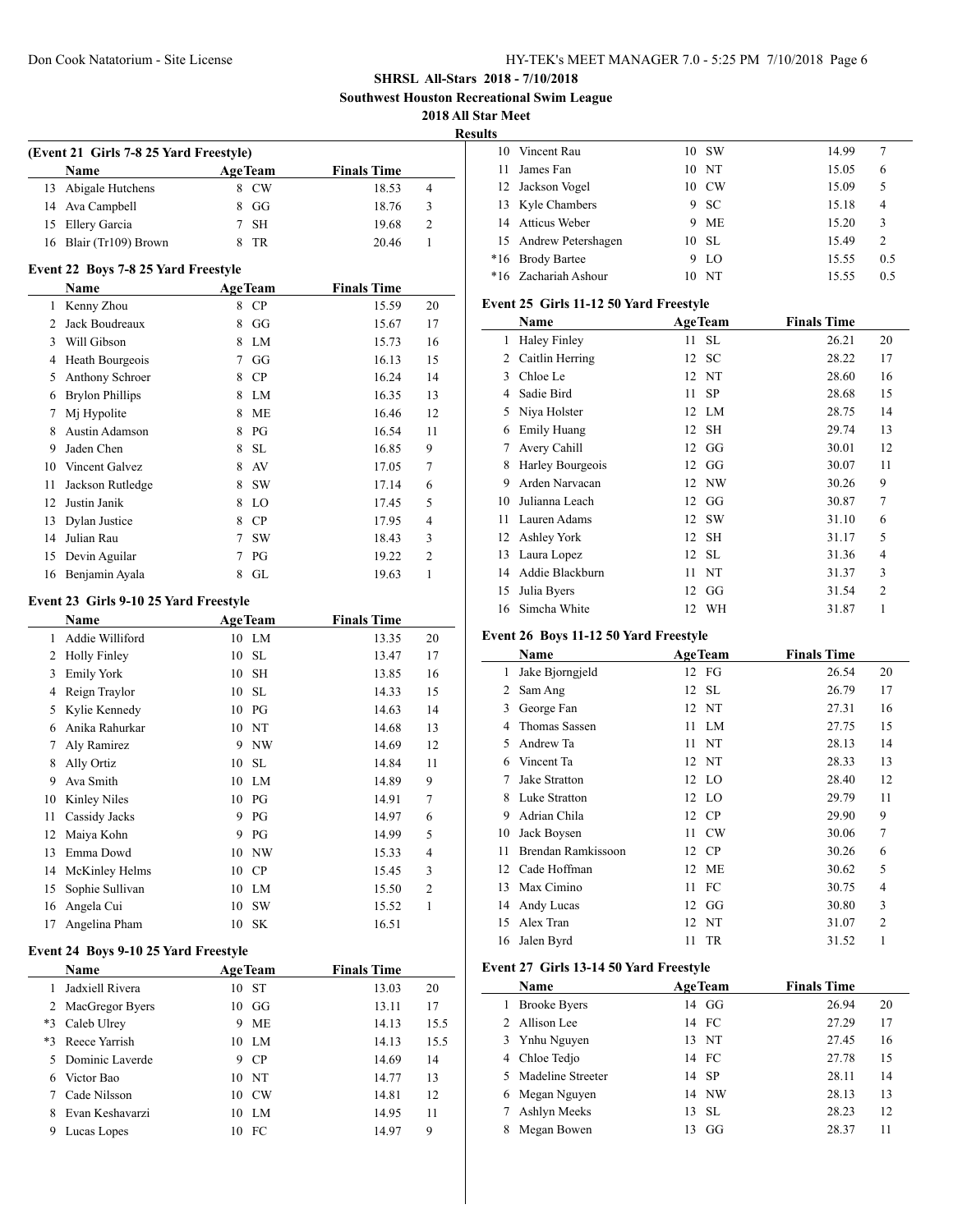**Southwest Houston Recreational Swim League**

**2018 All Star Meet**

**Results**

|    |                                        |                |           |                    | æ  |
|----|----------------------------------------|----------------|-----------|--------------------|----|
|    | (Event 21 Girls 7-8 25 Yard Freestyle) |                |           |                    |    |
|    | <b>Name</b>                            | <b>AgeTeam</b> |           | <b>Finals Time</b> |    |
| 13 | Abigale Hutchens                       | 8              | <b>CW</b> | 18.53              | 4  |
| 14 | Ava Campbell                           | 8              | GG        | 18.76              | 3  |
| 15 | Ellery Garcia                          | 7              | <b>SH</b> | 19.68              | 2  |
| 16 | Blair (Tr109) Brown                    | 8              | TR        | 20.46              |    |
|    | Event 22 Boys 7-8 25 Yard Freestyle    |                |           |                    |    |
|    | <b>Name</b>                            | <b>AgeTeam</b> |           | <b>Finals Time</b> |    |
|    | Kenny Zhou                             | 8              | CP        | 15.59              | 20 |
|    | Jack Boudreaux                         | 8              | GG        | 15.67              | 17 |
|    | Will Gibson                            |                | LM.       | 15.73              | 16 |
|    | Heath Bourgeois                        |                | GG        | 16.13              | 15 |

| 4  | <b>Heath Bourgeois</b>  |   | UU        | 10.15 | 12 |
|----|-------------------------|---|-----------|-------|----|
| 5. | Anthony Schroer         | 8 | CP        | 16.24 | 14 |
| 6  | <b>Brylon Phillips</b>  | 8 | LM        | 16.35 | 13 |
|    | M <sub>i</sub> Hypolite | 8 | МE        | 16.46 | 12 |
| 8  | Austin Adamson          | 8 | PG        | 16.54 | 11 |
| 9  | Jaden Chen              | 8 | <b>SL</b> | 16.85 | 9  |
| 10 | Vincent Galvez          | 8 | AV        | 17.05 | 7  |
| 11 | Jackson Rutledge        | 8 | <b>SW</b> | 17.14 | 6  |
| 12 | Justin Janik            | 8 | LO        | 17.45 | 5  |
| 13 | Dylan Justice           | 8 | CP        | 17.95 | 4  |
| 14 | Julian Rau              | 7 | <b>SW</b> | 18.43 | 3  |
|    | 15 Devin Aguilar        |   | PG        | 19.22 | 2  |
| 16 | Benjamin Ayala          | 8 | GL        | 19.63 |    |

#### **Event 23 Girls 9-10 25 Yard Freestyle**

|                | <b>Name</b>                          |    | <b>AgeTeam</b> | <b>Finals Time</b> |                |
|----------------|--------------------------------------|----|----------------|--------------------|----------------|
| 1              | Addie Williford                      |    | 10 LM          | 13.35              | 20             |
| 2              | <b>Holly Finley</b>                  | 10 | <b>SL</b>      | 13.47              | 17             |
| 3              | <b>Emily York</b>                    | 10 | <b>SH</b>      | 13.85              | 16             |
| 4              | Reign Traylor                        | 10 | <b>SL</b>      | 14.33              | 15             |
| 5              | Kylie Kennedy                        | 10 | PG             | 14.63              | 14             |
| 6              | Anika Rahurkar                       | 10 | <b>NT</b>      | 14.68              | 13             |
| 7              | Aly Ramirez                          | 9  | <b>NW</b>      | 14.69              | 12             |
| 8              | Ally Ortiz                           | 10 | <b>SL</b>      | 14.84              | 11             |
| 9              | Ava Smith                            | 10 | LM             | 14.89              | 9              |
| 10             | Kinley Niles                         | 10 | PG             | 14.91              | 7              |
| 11             | Cassidy Jacks                        | 9  | PG             | 14.97              | 6              |
| 12             | Maiya Kohn                           | 9  | PG             | 14.99              | 5              |
| 13             | Emma Dowd                            | 10 | <b>NW</b>      | 15.33              | $\overline{4}$ |
| 14             | McKinley Helms                       | 10 | CP             | 15.45              | 3              |
| 15             | Sophie Sullivan                      | 10 | LM             | 15.50              | $\overline{2}$ |
| 16             | Angela Cui                           | 10 | <b>SW</b>      | 15.52              | 1              |
| 17             | Angelina Pham                        | 10 | <b>SK</b>      | 16.51              |                |
|                | Event 24 Boys 9-10 25 Yard Freestyle |    |                |                    |                |
|                | Name                                 |    | <b>AgeTeam</b> | <b>Finals Time</b> |                |
| 1              | Jadxiell Rivera                      | 10 | <b>ST</b>      | 13.03              | 20             |
| $\overline{2}$ | MacGregor Byers                      | 10 | GG             | 13.11              | 17             |
| $*3$           | Caleb Ulrey                          | 9  | <b>ME</b>      | 14.13              | 15.5           |
| $*3$           | Reece Yarrish                        | 10 | LM             | 14.13              | 15.5           |
| 5              | Dominic Laverde                      | 9  | CP             | 14.69              | 14             |

 Victor Bao 10 NT 14.77 13 Cade Nilsson 10 CW 14.81 12 Evan Keshavarzi 10 LM 14.95 11 Lucas Lopes 10 FC 14.97 9

| L3 |                       |   |               |       |     |
|----|-----------------------|---|---------------|-------|-----|
|    | 10 Vincent Rau        |   | 10 SW         | 14.99 |     |
| 11 | James Fan             |   | 10 N          | 15.05 | 6   |
|    | 12 Jackson Vogel      |   | 10 CW         | 15.09 | 5   |
|    | 13 Kyle Chambers      |   | 9 SC          | 15.18 | 4   |
|    | 14 Atticus Weber      |   | 9 ME          | 15.20 | 3   |
|    | 15 Andrew Petershagen |   | 10 SL         | 15.49 | 2   |
|    | *16 Brody Bartee      | 9 | <sup>LO</sup> | 15.55 | 0.5 |
|    | *16 Zachariah Ashour  |   | NT            | 15.55 | 0.5 |

#### **Event 25 Girls 11-12 50 Yard Freestyle**

|    | Name                |    | <b>AgeTeam</b> | <b>Finals Time</b> |                |
|----|---------------------|----|----------------|--------------------|----------------|
| 1  | <b>Haley Finley</b> | 11 | <b>SL</b>      | 26.21              | 20             |
| 2  | Caitlin Herring     |    | 12 SC          | 28.22              | 17             |
| 3  | Chloe Le            |    | 12 NT          | 28.60              | 16             |
| 4  | Sadie Bird          | 11 | <b>SP</b>      | 28.68              | 15             |
| 5  | Niya Holster        |    | 12 LM          | 28.75              | 14             |
| 6  | <b>Emily Huang</b>  |    | 12 SH          | 29.74              | 13             |
| 7  | Avery Cahill        |    | $12 \text{ G}$ | 30.01              | 12             |
| 8  | Harley Bourgeois    |    | $12 \text{ G}$ | 30.07              | 11             |
| 9  | Arden Narvacan      |    | 12 NW          | 30.26              | 9              |
| 10 | Julianna Leach      |    | $12 \text{ G}$ | 30.87              | $\overline{7}$ |
| 11 | Lauren Adams        |    | 12 SW          | 31.10              | 6              |
|    | 12 Ashley York      |    | 12 SH          | 31.17              | 5              |
| 13 | Laura Lopez         |    | 12 SL          | 31.36              | $\overline{4}$ |
| 14 | Addie Blackburn     | 11 | NT             | 31.37              | 3              |
| 15 | Julia Byers         |    | $12 \text{ G}$ | 31.54              | $\overline{2}$ |
| 16 | Simcha White        | 12 | WH             | 31.87              | 1              |

#### **Event 26 Boys 11-12 50 Yard Freestyle**

|    | Name               | <b>AgeTeam</b>  | <b>Finals Time</b> |                |
|----|--------------------|-----------------|--------------------|----------------|
| 1  | Jake Bjorngjeld    | 12 FG           | 26.54              | 20             |
| 2  | Sam Ang            | 12 SL           | 26.79              | 17             |
| 3  | George Fan         | 12 NT           | 27.31              | 16             |
| 4  | Thomas Sassen      | 11 LM           | 27.75              | 15             |
| 5  | Andrew Ta          | NT<br>11        | 28.13              | 14             |
| 6  | Vincent Ta         | 12 NT           | 28.33              | 13             |
| 7  | Jake Stratton      | 12 LO           | 28.40              | 12             |
| 8  | Luke Stratton      | 12 LO           | 29.79              | 11             |
| 9  | Adrian Chila       | 12 CP           | 29.90              | 9              |
| 10 | Jack Boysen        | <b>CW</b><br>11 | 30.06              | 7              |
| 11 | Brendan Ramkissoon | 12 CP           | 30.26              | 6              |
| 12 | Cade Hoffman       | 12 ME           | 30.62              | 5              |
| 13 | Max Cimino         | 11 FC           | 30.75              | 4              |
| 14 | Andy Lucas         | 12 GG           | 30.80              | 3              |
| 15 | Alex Tran          | NT<br>12        | 31.07              | $\overline{2}$ |
| 16 | Jalen Byrd         | <b>TR</b><br>11 | 31.52              | 1              |

## **Event 27 Girls 13-14 50 Yard Freestyle**

 $\overline{\phantom{a}}$ 

|   | <b>Name</b>         | <b>AgeTeam</b> | <b>Finals Time</b> |    |
|---|---------------------|----------------|--------------------|----|
|   | <b>Brooke Byers</b> | 14 GG          | 26.94              | 20 |
|   | Allison Lee         | 14 FC          | 27.29              | 17 |
|   | 3 Ynhu Nguyen       | 13 NT          | 27.45              | 16 |
| 4 | Chloe Tedjo         | 14 FC          | 27.78              | 15 |
|   | 5 Madeline Streeter | 14 SP          | 28.11              | 14 |
|   | Megan Nguyen        | 14 NW          | 28.13              | 13 |
|   | Ashlyn Meeks        | 13 SL          | 28.23              | 12 |
|   | Megan Bowen         | GG<br>13       | 28.37              | 11 |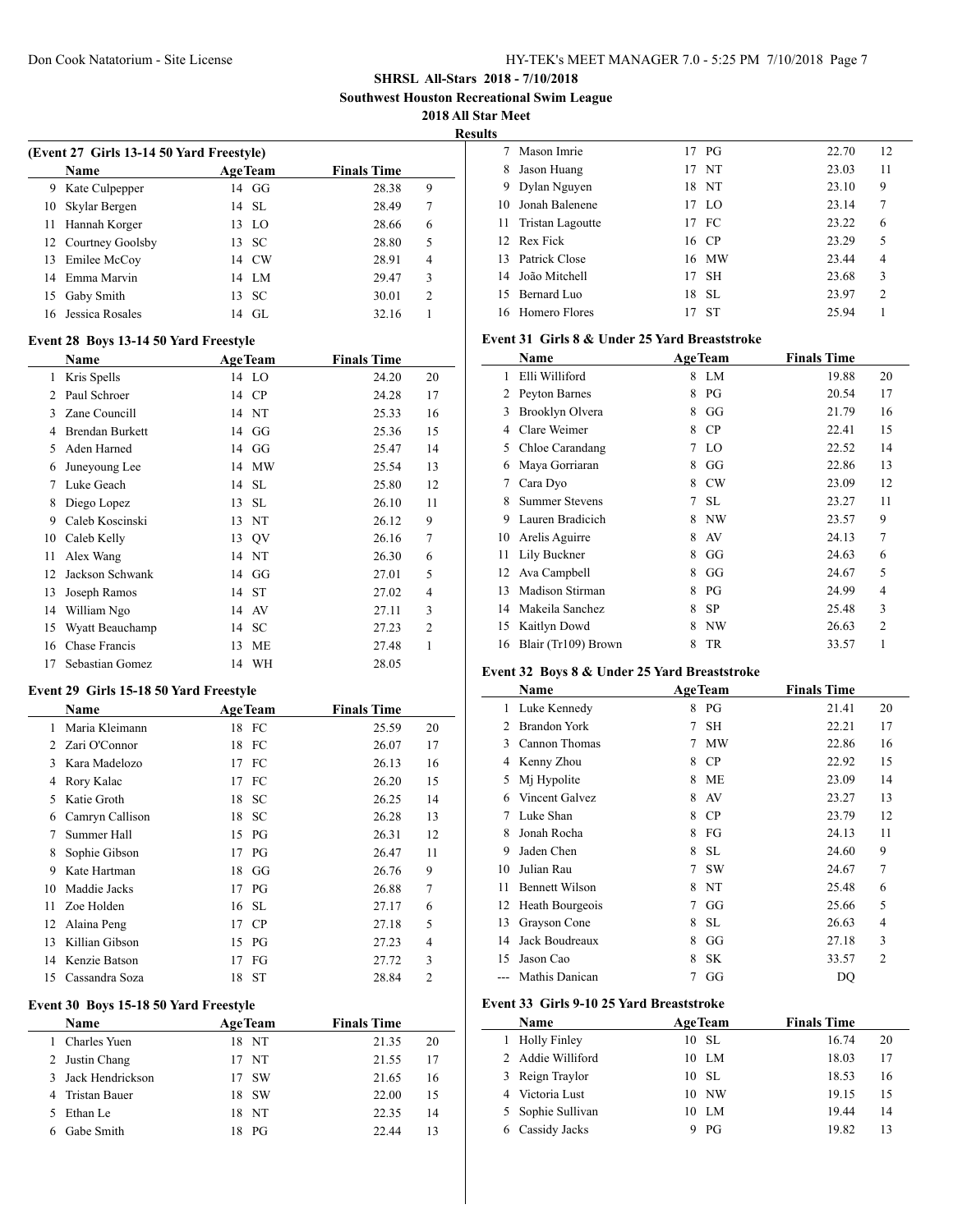**Southwest Houston Recreational Swim League**

**2018 All Star Meet**

**Results**

| (Event 27 Girls 13-14 50 Yard Freestyle) |                     |    |                |                    |               |  |  |  |
|------------------------------------------|---------------------|----|----------------|--------------------|---------------|--|--|--|
|                                          | <b>Name</b>         |    | <b>AgeTeam</b> | <b>Finals Time</b> |               |  |  |  |
| 9                                        | Kate Culpepper      |    | $14 \text{ G}$ | 28.38              | 9             |  |  |  |
| 10                                       | Skylar Bergen       |    | 14 SL          | 28.49              | 7             |  |  |  |
| 11                                       | Hannah Korger       |    | 13 LO          | 28.66              | 6             |  |  |  |
|                                          | 12 Courtney Goolsby |    | 13 SC          | 28.80              | 5             |  |  |  |
| 13                                       | Emilee McCoy        |    | 14 CW          | 28.91              | 4             |  |  |  |
|                                          | 14 Emma Marvin      |    | 14 LM          | 29.47              | 3             |  |  |  |
| 15                                       | Gaby Smith          |    | 13 SC          | 30.01              | $\mathcal{D}$ |  |  |  |
|                                          | 16 Jessica Rosales  | 14 | GL.            | 32.16              |               |  |  |  |
|                                          |                     |    |                |                    |               |  |  |  |

#### **Event 28 Boys 13-14 50 Yard Freestyle**

|               | Name                   |    | <b>AgeTeam</b> | <b>Finals Time</b> |                |
|---------------|------------------------|----|----------------|--------------------|----------------|
| 1             | Kris Spells            |    | 14 LO          | 24.20              | 20             |
| $\mathcal{L}$ | Paul Schroer           | 14 | CP             | 24.28              | 17             |
| 3             | Zane Councill          |    | 14 NT          | 25.33              | 16             |
| 4             | <b>Brendan Burkett</b> | 14 | GG             | 25.36              | 15             |
| 5             | Aden Harned            | 14 | GG             | 25.47              | 14             |
| 6             | Juneyoung Lee          | 14 | MW             | 25.54              | 13             |
| 7             | Luke Geach             | 14 | -SL            | 25.80              | 12             |
| 8             | Diego Lopez            | 13 | <b>SL</b>      | 26.10              | 11             |
| 9             | Caleb Koscinski        | 13 | NT             | 26.12              | 9              |
| 10            | Caleb Kelly            | 13 | QV             | 26.16              | 7              |
| 11            | Alex Wang              | 14 | NT             | 26.30              | 6              |
| 12            | Jackson Schwank        | 14 | GG             | 27.01              | 5              |
| 13            | Joseph Ramos           | 14 | <b>ST</b>      | 27.02              | 4              |
| 14            | William Ngo            | 14 | AV             | 27.11              | 3              |
| 15            | Wyatt Beauchamp        | 14 | <b>SC</b>      | 27.23              | $\overline{c}$ |
| 16            | Chase Francis          | 13 | ME             | 27.48              | 1              |
| 17            | Sebastian Gomez        |    | 14 WH          | 28.05              |                |

#### **Event 29 Girls 15-18 50 Yard Freestyle**

|    | <b>Name</b>                           |    | <b>AgeTeam</b> | <b>Finals Time</b> |                |
|----|---------------------------------------|----|----------------|--------------------|----------------|
| 1  | Maria Kleimann                        |    | 18 FC          | 25.59              | 20             |
| 2  | Zari O'Connor                         | 18 | FC             | 26.07              | 17             |
| 3  | Kara Madelozo                         | 17 | FC             | 26.13              | 16             |
| 4  | Rory Kalac                            | 17 | FC             | 26.20              | 15             |
| 5  | Katie Groth                           | 18 | <b>SC</b>      | 26.25              | 14             |
| 6  | Camryn Callison                       | 18 | <b>SC</b>      | 26.28              | 13             |
| 7  | Summer Hall                           | 15 | PG             | 26.31              | 12             |
| 8  | Sophie Gibson                         | 17 | PG             | 26.47              | 11             |
| 9  | Kate Hartman                          | 18 | GG             | 26.76              | 9              |
| 10 | Maddie Jacks                          | 17 | PG             | 26.88              | $\overline{7}$ |
| 11 | Zoe Holden                            | 16 | <b>SL</b>      | 27.17              | 6              |
| 12 | Alaina Peng                           | 17 | CP             | 27.18              | 5              |
| 13 | Killian Gibson                        | 15 | PG             | 27.23              | $\overline{4}$ |
| 14 | Kenzie Batson                         | 17 | FG             | 27.72              | 3              |
| 15 | Cassandra Soza                        | 18 | <b>ST</b>      | 28.84              | 2              |
|    | Event 30 Boys 15-18 50 Yard Freestyle |    |                |                    |                |
|    | Name                                  |    | <b>AgeTeam</b> | <b>Finals Time</b> |                |
| 1  | Charles Yuen                          |    | 18 NT          | 21.35              | 20             |
| 2  | Justin Chang                          | 17 | NT             | 21.55              | 17             |
| 3  | Jack Hendrickson                      | 17 | <b>SW</b>      | 21.65              | 16             |
| 4  | <b>Tristan Bauer</b>                  | 18 | <b>SW</b>      | 22.00              | 15             |
| 5  | Ethan Le                              | 18 | <b>NT</b>      | 22.35              | 14             |
| 6  | Gabe Smith                            | 18 | PG             | 22.44              | 13             |

| ιts |                  |    |           |       |                |
|-----|------------------|----|-----------|-------|----------------|
|     | Mason Imrie      |    | 17 PG     | 22.70 | 12             |
| 8   | Jason Huang      |    | 17 NT     | 23.03 | 11             |
| 9   | Dylan Nguyen     |    | 18 NT     | 23.10 | 9              |
| 10  | Jonah Balenene   |    | 17 LO     | 23.14 | 7              |
| 11  | Tristan Lagoutte |    | 17 FC     | 23.22 | 6              |
|     | 12 Rex Fick      |    | 16 CP     | 23.29 | 5              |
| 13  | Patrick Close    |    | 16 MW     | 23.44 | 4              |
|     | 14 João Mitchell | 17 | -SH       | 23.68 | 3              |
| 15  | Bernard Luo      | 18 | -SL       | 23.97 | $\overline{2}$ |
| 16  | Homero Flores    |    | <b>ST</b> | 25.94 |                |
|     |                  |    |           |       |                |

#### **Event 31 Girls 8 & Under 25 Yard Breaststroke**

|    | Name                  |   | <b>AgeTeam</b> | <b>Finals Time</b> |                |
|----|-----------------------|---|----------------|--------------------|----------------|
| 1  | Elli Williford        | 8 | LM             | 19.88              | 20             |
| 2  | Peyton Barnes         | 8 | PG             | 20.54              | 17             |
| 3  | Brooklyn Olvera       | 8 | GG             | 21.79              | 16             |
| 4  | Clare Weimer          | 8 | <b>CP</b>      | 22.41              | 15             |
| 5  | Chloe Carandang       | 7 | LO             | 22.52              | 14             |
| 6  | Maya Gorriaran        | 8 | GG             | 22.86              | 13             |
| 7  | Cara Dyo              | 8 | <b>CW</b>      | 23.09              | 12             |
| 8  | <b>Summer Stevens</b> | 7 | SL             | 23.27              | 11             |
| 9  | Lauren Bradicich      | 8 | NW             | 23.57              | 9              |
| 10 | Arelis Aguirre        | 8 | AV             | 24.13              | 7              |
| 11 | Lily Buckner          | 8 | GG             | 24.63              | 6              |
| 12 | Ava Campbell          | 8 | GG             | 24.67              | 5              |
| 13 | Madison Stirman       | 8 | PG             | 24.99              | 4              |
| 14 | Makeila Sanchez       | 8 | <b>SP</b>      | 25.48              | 3              |
| 15 | Kaitlyn Dowd          | 8 | NW             | 26.63              | $\overline{2}$ |
| 16 | Blair (Tr109) Brown   | 8 | <b>TR</b>      | 33.57              | 1              |

## **Event 32 Boys 8 & Under 25 Yard Breaststroke**

|                                          | Name                  |    | <b>AgeTeam</b> | <b>Finals Time</b> |    |  |  |  |
|------------------------------------------|-----------------------|----|----------------|--------------------|----|--|--|--|
| 1                                        | Luke Kennedy          | 8  | PG             | 21.41              | 20 |  |  |  |
| $\overline{c}$                           | <b>Brandon York</b>   | 7  | <b>SH</b>      | 22.21              | 17 |  |  |  |
| 3                                        | Cannon Thomas         | 7  | <b>MW</b>      | 22.86              | 16 |  |  |  |
| 4                                        | Kenny Zhou            | 8  | CP             | 22.92              | 15 |  |  |  |
| 5                                        | Mj Hypolite           | 8  | <b>ME</b>      | 23.09              | 14 |  |  |  |
| 6                                        | Vincent Galvez        | 8  | AV             | 23.27              | 13 |  |  |  |
| 7                                        | Luke Shan             | 8  | CP             | 23.79              | 12 |  |  |  |
| 8                                        | Jonah Rocha           | 8  | FG             | 24.13              | 11 |  |  |  |
| 9                                        | Jaden Chen            | 8  | <b>SL</b>      | 24.60              | 9  |  |  |  |
| 10                                       | Julian Rau            | 7  | <b>SW</b>      | 24.67              | 7  |  |  |  |
| 11                                       | <b>Bennett Wilson</b> | 8  | NT             | 25.48              | 6  |  |  |  |
| 12                                       | Heath Bourgeois       | 7  | GG             | 25.66              | 5  |  |  |  |
| 13                                       | Grayson Cone          | 8  | <b>SL</b>      | 26.63              | 4  |  |  |  |
| 14                                       | Jack Boudreaux        | 8  | GG             | 27.18              | 3  |  |  |  |
| 15                                       | Jason Cao             | 8  | <b>SK</b>      | 33.57              | 2  |  |  |  |
|                                          | Mathis Danican        | 7  | GG             | DQ                 |    |  |  |  |
| Event 33 Girls 9-10 25 Yard Breaststroke |                       |    |                |                    |    |  |  |  |
|                                          | Name                  |    | <b>AgeTeam</b> | <b>Finals Time</b> |    |  |  |  |
| 1                                        | <b>Holly Finley</b>   | 10 | -SL            | 16.74              | 20 |  |  |  |
| 2                                        | Addie Williford       | 10 | LM             | 18.03              | 17 |  |  |  |
| 3                                        | Reign Traylor         | 10 | <b>SL</b>      | 18.53              | 16 |  |  |  |
| 4                                        | Victoria Lust         | 10 | <b>NW</b>      | 19.15              | 15 |  |  |  |

 Sophie Sullivan 10 LM 19.44 14 Cassidy Jacks 9 PG 19.82 13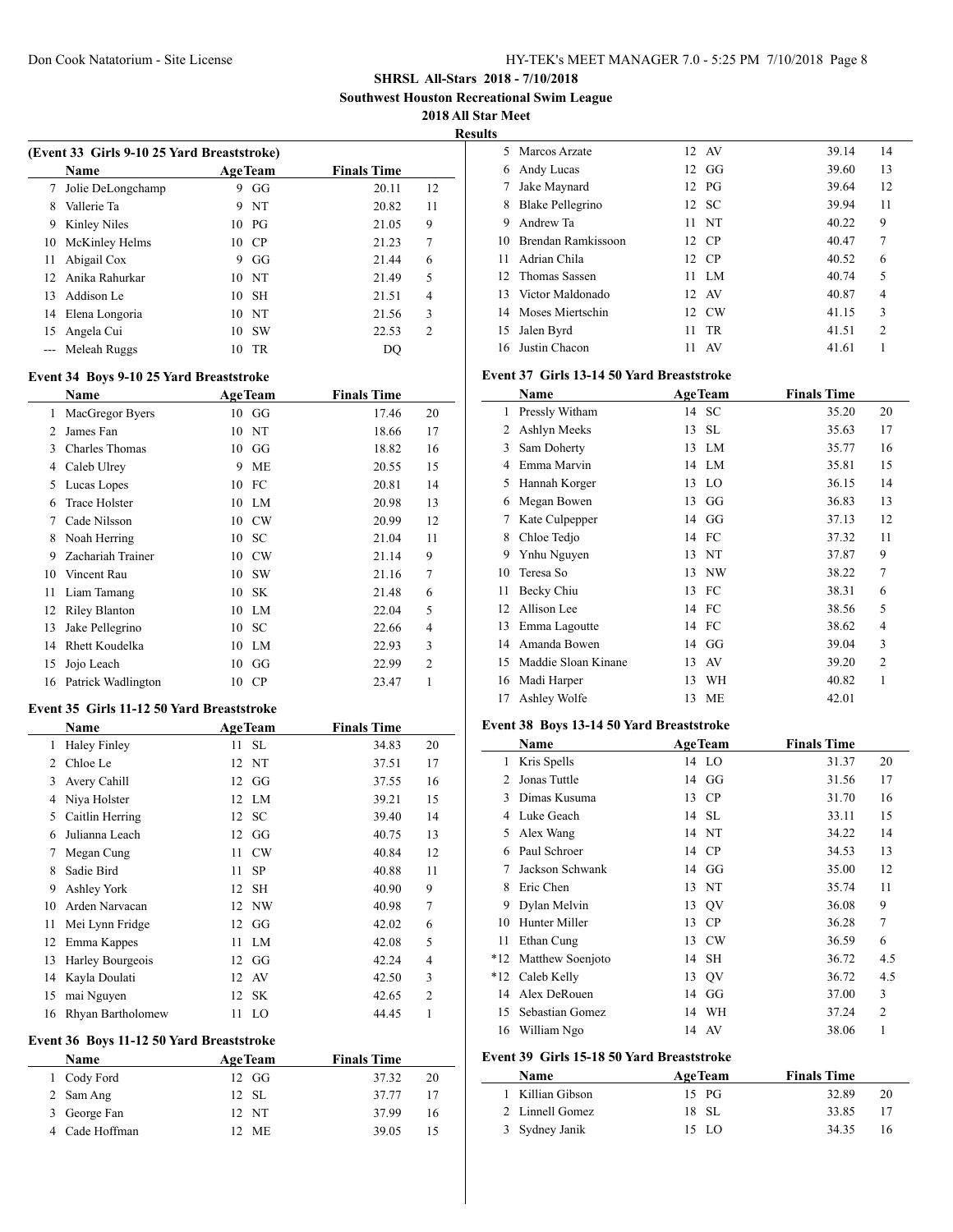**Southwest Houston Recreational Swim League**

**2018 All Star Meet**

**Results**

| (Event 33 Girls 9-10 25 Yard Breaststroke) |                     |    |                |                    |                |  |
|--------------------------------------------|---------------------|----|----------------|--------------------|----------------|--|
|                                            | <b>Name</b>         |    | <b>AgeTeam</b> | <b>Finals Time</b> |                |  |
| 7                                          | Jolie DeLongchamp   | 9  | GG             | 20.11              | 12             |  |
| 8                                          | Vallerie Ta         | 9  | NT             | 20.82              | 11             |  |
| 9                                          | <b>Kinley Niles</b> |    | $10$ PG        | 21.05              | 9              |  |
| 10                                         | McKinley Helms      | 10 | - CP           | 21.23              | 7              |  |
| 11                                         | Abigail Cox         | 9  | GG             | 21.44              | 6              |  |
|                                            | 12 Anika Rahurkar   |    | 10 N           | 21.49              | 5              |  |
| 13                                         | Addison Le          | 10 | -SH            | 21.51              | 4              |  |
|                                            | 14 Elena Longoria   |    | 10 N           | 21.56              | 3              |  |
| 15                                         | Angela Cui          | 10 | - SW           | 22.53              | $\mathfrak{D}$ |  |
|                                            | Meleah Ruggs        | 10 | TR             | DO                 |                |  |

# **Event 34 Boys 9-10 25 Yard Breaststroke**

 $\overline{a}$ 

|                | Name                  | <b>AgeTeam</b>  | <b>Finals Time</b> |                |
|----------------|-----------------------|-----------------|--------------------|----------------|
| 1              | MacGregor Byers       | $10\quad G$     | 17.46              | 20             |
| $\mathfrak{D}$ | James Fan             | 10 NT           | 18.66              | 17             |
| 3              | <b>Charles Thomas</b> | GG<br>10        | 18.82              | 16             |
| 4              | Caleb Ulrey           | <b>ME</b><br>9  | 20.55              | 15             |
| 5              | Lucas Lopes           | 10 FC           | 20.81              | 14             |
| 6              | <b>Trace Holster</b>  | 10 LM           | 20.98              | 13             |
| 7              | Cade Nilsson          | 10 CW           | 20.99              | 12             |
| 8              | Noah Herring          | 10 SC           | 21.04              | 11             |
| 9              | Zachariah Trainer     | 10 CW           | 21.14              | 9              |
| 10             | Vincent Rau           | 10 SW           | 21.16              | 7              |
| 11             | Liam Tamang           | 10<br><b>SK</b> | 21.48              | 6              |
| 12             | <b>Riley Blanton</b>  | LM<br>10        | 22.04              | 5              |
| 13             | Jake Pellegrino       | 10 SC           | 22.66              | 4              |
| 14             | <b>Rhett Koudelka</b> | 10 LM           | 22.93              | 3              |
| 15             | Jojo Leach            | 10<br>GG        | 22.99              | $\overline{2}$ |
| 16             | Patrick Wadlington    | CP<br>10        | 23.47              | 1              |
|                |                       |                 |                    |                |

#### **Event 35 Girls 11-12 50 Yard Breaststroke**

|    | Name                |    | <b>AgeTeam</b> | <b>Finals Time</b> |                |
|----|---------------------|----|----------------|--------------------|----------------|
| 1  | <b>Haley Finley</b> | 11 | <b>SL</b>      | 34.83              | 20             |
| 2  | Chloe Le            | 12 | NT             | 37.51              | 17             |
| 3  | Avery Cahill        |    | $12 \text{ G}$ | 37.55              | 16             |
| 4  | Niya Holster        |    | 12 LM          | 39.21              | 15             |
| 5  | Caitlin Herring     | 12 | SC             | 39.40              | 14             |
| 6  | Julianna Leach      | 12 | GG             | 40.75              | 13             |
| 7  | Megan Cung          | 11 | CW             | 40.84              | 12             |
| 8  | Sadie Bird          | 11 | <b>SP</b>      | 40.88              | 11             |
| 9  | Ashley York         | 12 | <b>SH</b>      | 40.90              | 9              |
| 10 | Arden Narvacan      | 12 | NW             | 40.98              | $\overline{7}$ |
| 11 | Mei Lynn Fridge     | 12 | GG             | 42.02              | 6              |
| 12 | Emma Kappes         | 11 | LM             | 42.08              | 5              |
| 13 | Harley Bourgeois    | 12 | GG             | 42.24              | 4              |
| 14 | Kayla Doulati       | 12 | AV             | 42.50              | 3              |
| 15 | mai Nguyen          | 12 | SK.            | 42.65              | $\overline{2}$ |
| 16 | Rhyan Bartholomew   | 11 | LO             | 44.45              | 1              |

## **Event 36 Boys 11-12 50 Yard Breaststroke**

| Name           | <b>AgeTeam</b> | <b>Finals Time</b> |    |
|----------------|----------------|--------------------|----|
| 1 Cody Ford    | 12 GG          | 37.32              | 20 |
| 2 Sam Ang      | 12 SL          | 37.77              | 17 |
| 3 George Fan   | 12 NT          | 37.99              | 16 |
| 4 Cade Hoffman | 12 ME          | 39.05              |    |

| ້   |                    |    |                |       |                |
|-----|--------------------|----|----------------|-------|----------------|
| 5.  | Marcos Arzate      |    | 12 AV          | 39.14 | 14             |
| 6   | Andy Lucas         |    | $12 \text{ G}$ | 39.60 | 13             |
| 7   | Jake Maynard       |    | $12$ PG        | 39.64 | 12             |
| 8   | Blake Pellegrino   |    | 12 SC          | 39.94 | 11             |
| 9   | Andrew Ta          |    | $11$ NT        | 40.22 | 9              |
| 10  | Brendan Ramkissoon |    | 12 CP          | 40.47 | 7              |
| 11  | Adrian Chila       |    | 12 CP          | 40.52 | 6              |
|     | 12 Thomas Sassen   | 11 | LM.            | 40.74 | 5              |
| 13. | Victor Maldonado   |    | 12 AV          | 40.87 | 4              |
| 14  | Moses Miertschin   |    | 12 CW          | 41.15 | 3              |
| 15  | Jalen Byrd         | 11 | <b>TR</b>      | 41.51 | $\overline{c}$ |
| 16. | Justin Chacon      | 11 | AV             | 41.61 |                |
|     |                    |    |                |       |                |

# **Event 37 Girls 13-14 50 Yard Breaststroke**

|    | Name                |    | <b>AgeTeam</b> | <b>Finals Time</b> |                |
|----|---------------------|----|----------------|--------------------|----------------|
| 1  | Pressly Witham      |    | 14 SC          | 35.20              | 20             |
| 2  | Ashlyn Meeks        | 13 | <b>SL</b>      | 35.63              | 17             |
| 3  | Sam Doherty         | 13 | LM             | 35.77              | 16             |
| 4  | Emma Marvin         |    | 14 LM          | 35.81              | 15             |
| 5  | Hannah Korger       |    | 13 LO          | 36.15              | 14             |
| 6  | Megan Bowen         | 13 | GG             | 36.83              | 13             |
| 7  | Kate Culpepper      |    | 14 GG          | 37.13              | 12             |
| 8  | Chloe Tedjo         |    | 14 FC          | 37.32              | 11             |
| 9  | Ynhu Nguyen         |    | 13 NT          | 37.87              | 9              |
| 10 | Teresa So           | 13 | NW             | 38.22              | 7              |
| 11 | Becky Chiu          | 13 | FC             | 38.31              | 6              |
| 12 | Allison Lee         | 14 | FC             | 38.56              | 5              |
| 13 | Emma Lagoutte       | 14 | FC             | 38.62              | 4              |
| 14 | Amanda Bowen        |    | 14 GG          | 39.04              | 3              |
| 15 | Maddie Sloan Kinane | 13 | AV             | 39.20              | $\overline{2}$ |
| 16 | Madi Harper         | 13 | WH             | 40.82              | 1              |
| 17 | Ashley Wolfe        | 13 | ME             | 42.01              |                |

# **Event 38 Boys 13-14 50 Yard Breaststroke**

|                                           | Name             |    | <b>AgeTeam</b> | <b>Finals Time</b> |                |  |
|-------------------------------------------|------------------|----|----------------|--------------------|----------------|--|
| 1                                         | Kris Spells      |    | 14 LO          | 31.37              | 20             |  |
| $\mathcal{L}$                             | Jonas Tuttle     |    | 14 GG          | 31.56              | 17             |  |
| 3                                         | Dimas Kusuma     | 13 | <b>CP</b>      | 31.70              | 16             |  |
| 4                                         | Luke Geach       |    | 14 SL          | 33.11              | 15             |  |
| 5                                         | Alex Wang        |    | 14 NT          | 34.22              | 14             |  |
| 6                                         | Paul Schroer     |    | 14 CP          | 34.53              | 13             |  |
| 7                                         | Jackson Schwank  |    | 14 GG          | 35.00              | 12             |  |
| 8                                         | Eric Chen        | 13 | NT             | 35.74              | 11             |  |
| 9                                         | Dylan Melvin     |    | 13 QV          | 36.08              | 9              |  |
| 10                                        | Hunter Miller    | 13 | CP             | 36.28              | 7              |  |
| 11                                        | Ethan Cung       | 13 | <b>CW</b>      | 36.59              | 6              |  |
| $*12$                                     | Matthew Soenjoto | 14 | SН             | 36.72              | 4.5            |  |
| $*12$                                     | Caleb Kelly      |    | 13 QV          | 36.72              | 4.5            |  |
| 14                                        | Alex DeRouen     |    | 14 GG          | 37.00              | 3              |  |
| 15                                        | Sebastian Gomez  |    | 14 WH          | 37.24              | $\overline{2}$ |  |
| 16                                        | William Ngo      |    | 14 AV          | 38.06              | 1              |  |
| Event 39 Girls 15-18 50 Yard Breaststroke |                  |    |                |                    |                |  |

| Name             | <b>AgeTeam</b> | <b>Finals Time</b> |    |
|------------------|----------------|--------------------|----|
| 1 Killian Gibson | $15$ PG        | 32.89              | 20 |
| 2 Linnell Gomez  | 18 SL          | 33.85              | 17 |
| 3 Sydney Janik   | 15 LO          | 3435               | 16 |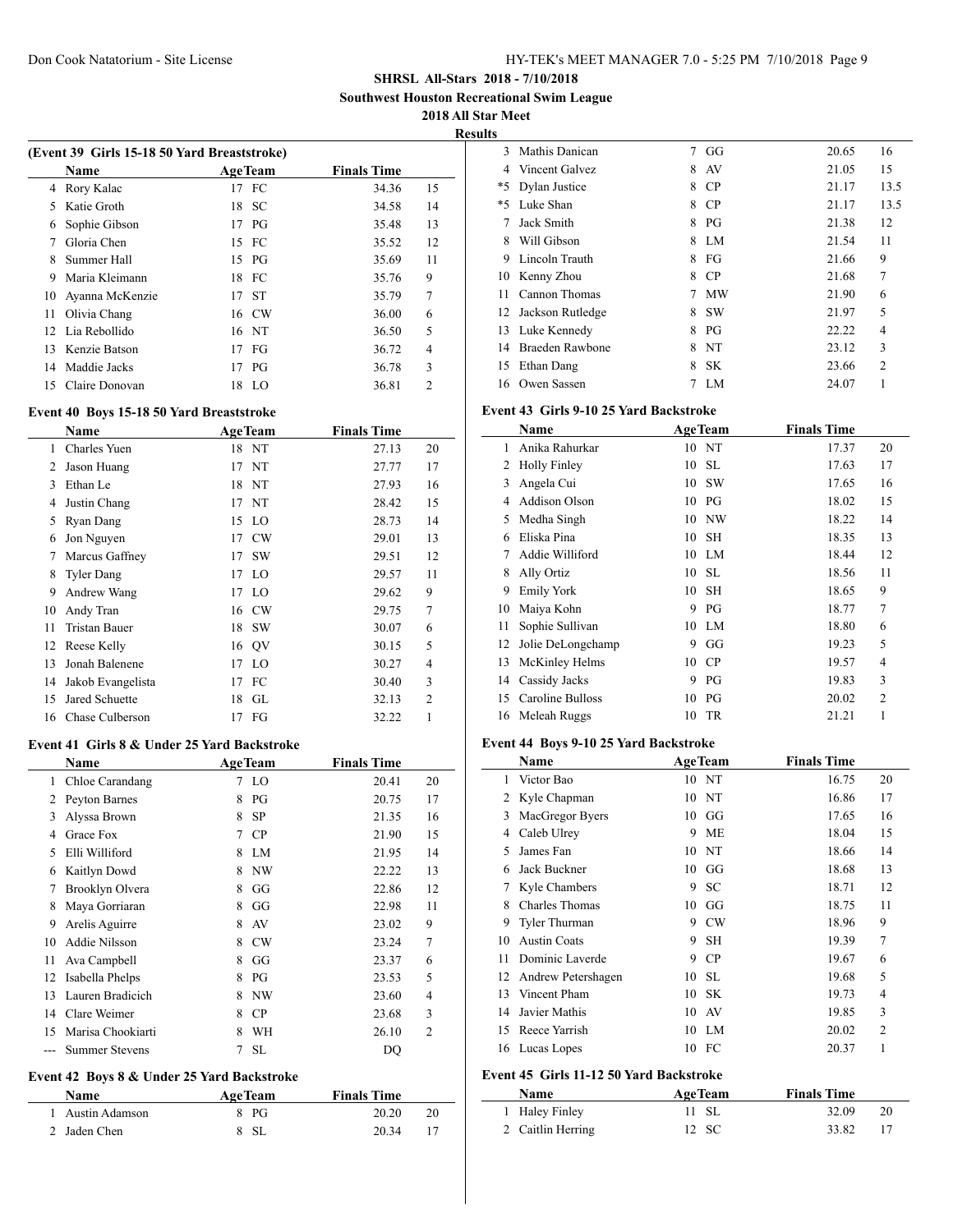**Southwest Houston Recreational Swim League**

**2018 All Star Meet**

| Results |
|---------|
|---------|

|    | (Event 39 Girls 15-18 50 Yard Breaststroke) |                |                    |                |
|----|---------------------------------------------|----------------|--------------------|----------------|
|    | Name                                        | <b>AgeTeam</b> | <b>Finals Time</b> |                |
| 4  | Rory Kalac                                  | 17 FC          | 34.36              | 15             |
| 5  | Katie Groth                                 | 18 SC          | 34.58              | 14             |
| 6  | Sophie Gibson                               | $17$ PG        | 35.48              | 13             |
| 7  | Gloria Chen                                 | 15 FC          | 35.52              | 12             |
| 8  | Summer Hall                                 | $15$ PG        | 35.69              | 11             |
| 9  | Maria Kleimann                              | 18 FC          | 35.76              | 9              |
| 10 | Ayanna McKenzie                             | 17 ST          | 35.79              | 7              |
| 11 | Olivia Chang                                | 16 CW          | 36.00              | 6              |
|    | 12 Lia Rebollido                            | 16 NT          | 36.50              | 5              |
| 13 | Kenzie Batson                               | $17$ FG        | 36.72              | 4              |
|    | 14 Maddie Jacks                             | 17 PG          | 36.78              | 3              |
| 15 | Claire Donovan                              | 18<br>LO.      | 36.81              | $\overline{c}$ |
|    |                                             |                |                    |                |

## **Event 40 Boys 15-18 50 Yard Breaststroke**

|    | Name                 |    | <b>AgeTeam</b> | <b>Finals Time</b> |                |
|----|----------------------|----|----------------|--------------------|----------------|
| 1  | Charles Yuen         |    | 18 NT          | 27.13              | 20             |
| 2  | Jason Huang          | 17 | NT             | 27.77              | 17             |
| 3  | Ethan Le             |    | 18 NT          | 27.93              | 16             |
| 4  | Justin Chang         |    | 17 NT          | 28.42              | 15             |
| 5  | Ryan Dang            | 15 | <b>LO</b>      | 28.73              | 14             |
| 6  | Jon Nguyen           | 17 | CW             | 29.01              | 13             |
| 7  | Marcus Gaffney       | 17 | <b>SW</b>      | 29.51              | 12             |
| 8  | <b>Tyler Dang</b>    | 17 | <sup>LO</sup>  | 29.57              | 11             |
| 9  | Andrew Wang          | 17 | LO             | 29.62              | 9              |
| 10 | Andy Tran            | 16 | CW             | 29.75              | 7              |
| 11 | <b>Tristan Bauer</b> |    | 18 SW          | 30.07              | 6              |
| 12 | Reese Kelly          |    | 16 QV          | 30.15              | 5              |
| 13 | Jonah Balenene       | 17 | LO             | 30.27              | 4              |
| 14 | Jakob Evangelista    | 17 | FC             | 30.40              | 3              |
| 15 | Jared Schuette       | 18 | GL             | 32.13              | $\overline{2}$ |
| 16 | Chase Culberson      | 17 | FG             | 32.22              | 1              |

#### **Event 41 Girls 8 & Under 25 Yard Backstroke**

|    | Name                  |   | <b>AgeTeam</b> | <b>Finals Time</b> |                |
|----|-----------------------|---|----------------|--------------------|----------------|
| 1  | Chloe Carandang       | 7 | LO             | 20.41              | 20             |
| 2  | Peyton Barnes         | 8 | PG             | 20.75              | 17             |
| 3  | Alyssa Brown          | 8 | <b>SP</b>      | 21.35              | 16             |
| 4  | Grace Fox             | 7 | CP             | 21.90              | 15             |
| 5  | Elli Williford        | 8 | LM             | 21.95              | 14             |
| 6  | Kaitlyn Dowd          | 8 | NW             | 22.22              | 13             |
| 7  | Brooklyn Olvera       | 8 | GG             | 22.86              | 12             |
| 8  | Maya Gorriaran        | 8 | GG             | 22.98              | 11             |
| 9  | Arelis Aguirre        | 8 | AV             | 23.02              | 9              |
| 10 | Addie Nilsson         | 8 | <b>CW</b>      | 23.24              | 7              |
| 11 | Ava Campbell          | 8 | GG             | 23.37              | 6              |
| 12 | Isabella Phelps       | 8 | PG             | 23.53              | 5              |
| 13 | Lauren Bradicich      | 8 | NW             | 23.60              | 4              |
| 14 | Clare Weimer          | 8 | CP             | 23.68              | 3              |
| 15 | Marisa Chookiarti     | 8 | WН             | 26.10              | $\overline{2}$ |
|    | <b>Summer Stevens</b> | 7 | <b>SL</b>      | DO                 |                |

## **Event 42 Boys 8 & Under 25 Yard Backstroke**

| Name             | <b>AgeTeam</b> | <b>Finals Time</b> |    |
|------------------|----------------|--------------------|----|
| 1 Austin Adamson | 8 PG           | 20.20              | 20 |
| 2 Jaden Chen     | 8 SL           | 20.34              |    |

| lts |                  |   |           |       |                |
|-----|------------------|---|-----------|-------|----------------|
| 3   | Mathis Danican   | 7 | GG        | 20.65 | 16             |
| 4   | Vincent Galvez   | 8 | AV        | 21.05 | 15             |
| *5  | Dylan Justice    | 8 | CP        | 21.17 | 13.5           |
| *5  | Luke Shan        | 8 | <b>CP</b> | 21.17 | 13.5           |
|     | Jack Smith       | 8 | PG        | 21.38 | 12             |
| 8   | Will Gibson      | 8 | LM.       | 21.54 | 11             |
| 9   | Lincoln Trauth   | 8 | FG        | 21.66 | 9              |
| 10  | Kenny Zhou       | 8 | <b>CP</b> | 21.68 | 7              |
| 11  | Cannon Thomas    | 7 | <b>MW</b> | 21.90 | 6              |
| 12  | Jackson Rutledge | 8 | <b>SW</b> | 21.97 | 5              |
| 13  | Luke Kennedy     | 8 | PG        | 22.22 | 4              |
| 14  | Braeden Rawbone  | 8 | NT        | 23.12 | 3              |
| 15  | Ethan Dang       | 8 | <b>SK</b> | 23.66 | $\overline{c}$ |
| 16  | Owen Sassen      |   | LM        | 24.07 |                |

#### **Event 43 Girls 9-10 25 Yard Backstroke**

|    | Name                |    | <b>AgeTeam</b> | <b>Finals Time</b> |                |
|----|---------------------|----|----------------|--------------------|----------------|
| 1  | Anika Rahurkar      | 10 | NT             | 17.37              | 20             |
| 2  | <b>Holly Finley</b> | 10 | SL             | 17.63              | 17             |
| 3  | Angela Cui          | 10 | <b>SW</b>      | 17.65              | 16             |
| 4  | Addison Olson       | 10 | PG             | 18.02              | 15             |
| 5  | Medha Singh         | 10 | NW             | 18.22              | 14             |
| 6  | Eliska Pina         | 10 | <b>SH</b>      | 18.35              | 13             |
| 7  | Addie Williford     | 10 | LM             | 18.44              | 12             |
| 8  | Ally Ortiz          | 10 | SL.            | 18.56              | 11             |
| 9  | <b>Emily York</b>   | 10 | <b>SH</b>      | 18.65              | 9              |
| 10 | Maiya Kohn          | 9  | PG             | 18.77              | 7              |
| 11 | Sophie Sullivan     | 10 | LM             | 18.80              | 6              |
| 12 | Jolie DeLongchamp   | 9  | GG             | 19.23              | 5              |
| 13 | McKinley Helms      | 10 | CP             | 19.57              | 4              |
| 14 | Cassidy Jacks       | 9  | PG             | 19.83              | 3              |
| 15 | Caroline Bulloss    | 10 | PG             | 20.02              | $\overline{2}$ |
| 16 | Meleah Ruggs        | 10 | <b>TR</b>      | 21.21              | 1              |
|    |                     |    |                |                    |                |

#### **Event 44 Boys 9-10 25 Yard Backstroke**

|    | Name                                    |    | <b>AgeTeam</b> | <b>Finals Time</b> |                |
|----|-----------------------------------------|----|----------------|--------------------|----------------|
| 1  | Victor Bao                              |    | 10 NT          | 16.75              | 20             |
| 2  | Kyle Chapman                            | 10 | <b>NT</b>      | 16.86              | 17             |
| 3  | MacGregor Byers                         | 10 | GG             | 17.65              | 16             |
| 4  | Caleb Ulrey                             | 9  | <b>ME</b>      | 18.04              | 15             |
| 5  | James Fan                               | 10 | NT             | 18.66              | 14             |
| 6  | Jack Buckner                            | 10 | GG             | 18.68              | 13             |
| 7  | Kyle Chambers                           | 9  | <b>SC</b>      | 18.71              | 12             |
| 8  | <b>Charles Thomas</b>                   | 10 | GG             | 18.75              | 11             |
| 9  | Tyler Thurman                           | 9  | CW             | 18.96              | 9              |
| 10 | <b>Austin Coats</b>                     | 9  | <b>SH</b>      | 19.39              | 7              |
| 11 | Dominic Laverde                         | 9  | CP             | 19.67              | 6              |
| 12 | Andrew Petershagen                      | 10 | SL             | 19.68              | 5              |
| 13 | Vincent Pham                            | 10 | <b>SK</b>      | 19.73              | 4              |
| 14 | Javier Mathis                           | 10 | AV             | 19.85              | 3              |
| 15 | Reece Yarrish                           | 10 | LM             | 20.02              | $\overline{2}$ |
| 16 | Lucas Lopes                             | 10 | FC             | 20.37              | 1              |
|    | Event 45 Girls 11-12 50 Yard Backstroke |    |                |                    |                |
|    | Name                                    |    | <b>AgeTeam</b> | <b>Finals Time</b> |                |
| 1  | Haley Finley                            | 11 | <b>SL</b>      | 32.09              | 20             |
| 2  | Caitlin Herring                         | 12 | <b>SC</b>      | 33.82              | 17             |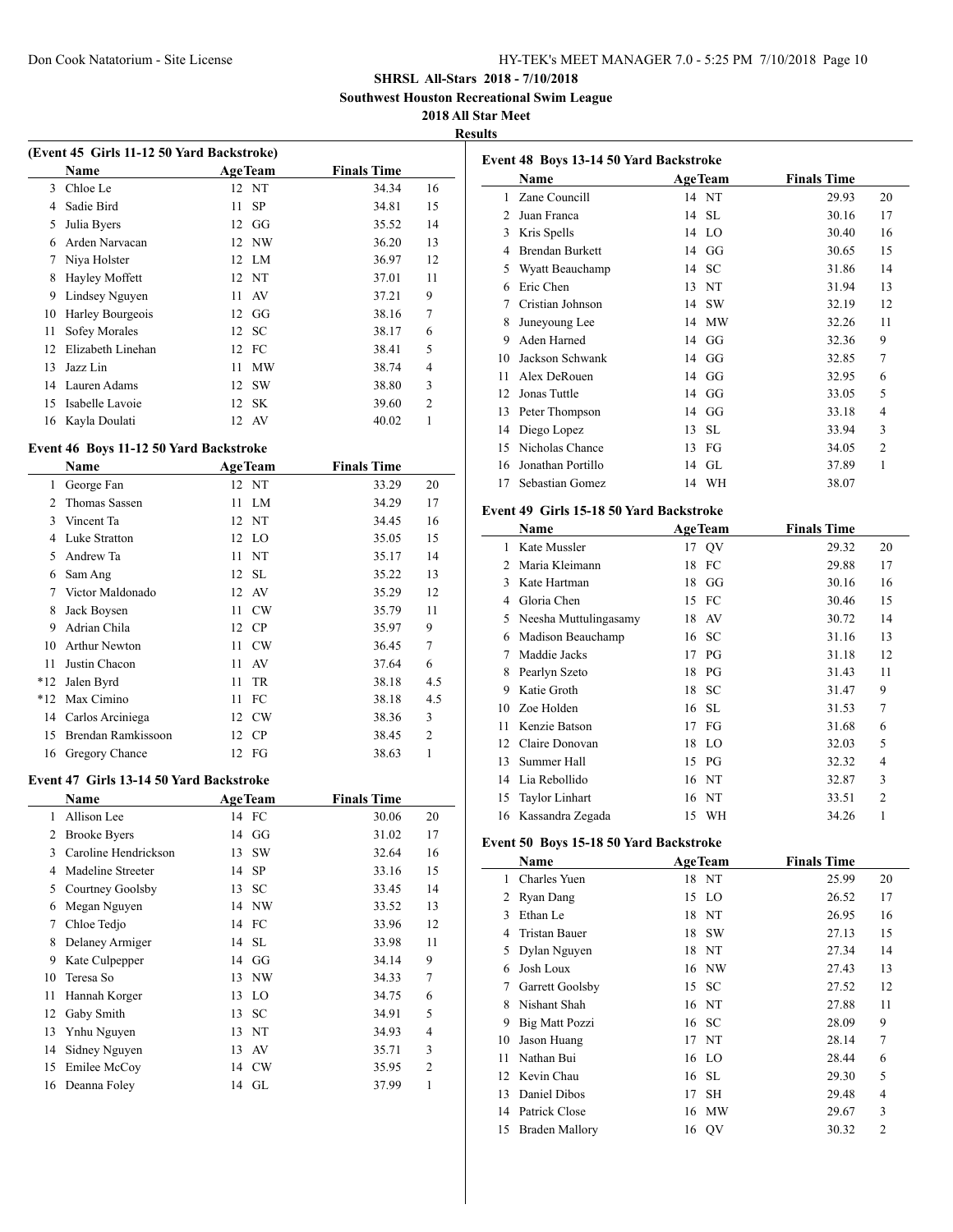**Southwest Houston Recreational Swim League**

#### **2018 All Star Meet**

**Results**

|    | (Event 45 Girls 11-12 50 Yard Backstroke) |     |                |                    |                |
|----|-------------------------------------------|-----|----------------|--------------------|----------------|
|    | Name                                      |     | <b>AgeTeam</b> | <b>Finals Time</b> |                |
| 3  | Chloe Le                                  |     | 12 NT          | 34.34              | 16             |
| 4  | Sadie Bird                                | 11. | <b>SP</b>      | 34.81              | 15             |
| 5  | Julia Byers                               |     | $12 \text{ G}$ | 35.52              | 14             |
| 6  | Arden Narvacan                            |     | 12 NW          | 36.20              | 13             |
| 7  | Niya Holster                              |     | 12 LM          | 36.97              | 12             |
| 8  | Hayley Moffett                            |     | 12 NT          | 37.01              | 11             |
| 9  | Lindsey Nguyen                            | 11  | AV             | 37.21              | 9              |
| 10 | Harley Bourgeois                          |     | $12 \text{ G}$ | 38.16              | 7              |
| 11 | Sofey Morales                             |     | 12 SC          | 38.17              | 6              |
| 12 | Elizabeth Linehan                         |     | 12 FC          | 38.41              | 5              |
| 13 | Jazz Lin                                  | 11  | <b>MW</b>      | 38.74              | $\overline{4}$ |
| 14 | Lauren Adams                              |     | 12 SW          | 38.80              | 3              |
| 15 | Isabelle Lavoie                           |     | 12 SK          | 39.60              | $\overline{c}$ |
| 16 | Kayla Doulati                             |     | 12 AV          | 40.02              | 1              |
|    |                                           |     |                |                    |                |

## **Event 46 Boys 11-12 50 Yard Backstroke**

 $\overline{a}$ 

|                | Name                 |    | <b>AgeTeam</b> | <b>Finals Time</b> |                |
|----------------|----------------------|----|----------------|--------------------|----------------|
| 1              | George Fan           |    | 12 NT          | 33.29              | 20             |
| $\mathfrak{D}$ | Thomas Sassen        | 11 | LM             | 34.29              | 17             |
| 3              | Vincent Ta           |    | 12 NT          | 34.45              | 16             |
| 4              | Luke Stratton        |    | 12 LO          | 35.05              | 15             |
| 5              | Andrew Ta            |    | 11 NT          | 35.17              | 14             |
| 6              | Sam Ang              |    | 12 SL          | 35.22              | 13             |
| 7              | Victor Maldonado     |    | 12 AV          | 35.29              | 12             |
| 8              | Jack Boysen          | 11 | CW             | 35.79              | 11             |
| 9              | Adrian Chila         |    | 12 CP          | 35.97              | 9              |
| 10             | <b>Arthur Newton</b> | 11 | CW             | 36.45              | 7              |
| 11             | Justin Chacon        | 11 | AV             | 37.64              | 6              |
| $*12$          | Jalen Byrd           | 11 | TR             | 38.18              | 4.5            |
| $*12$          | Max Cimino           |    | 11 FC          | 38.18              | 4.5            |
| 14             | Carlos Arciniega     |    | 12 CW          | 38.36              | 3              |
| 15             | Brendan Ramkissoon   |    | 12 CP          | 38.45              | $\overline{2}$ |
|                | 16 Gregory Chance    |    | 12 FG          | 38.63              | 1              |

#### **Event 47 Girls 13-14 50 Yard Backstroke**

|    | <b>Name</b>          | <b>AgeTeam</b>      | <b>Finals Time</b> |                |
|----|----------------------|---------------------|--------------------|----------------|
| 1  | Allison Lee          | 14 FC               | 30.06              | 20             |
| 2  | <b>Brooke Byers</b>  | GG<br>14            | 31.02              | 17             |
| 3  | Caroline Hendrickson | <b>SW</b><br>13     | 32.64              | 16             |
| 4  | Madeline Streeter    | <b>SP</b><br>14     | 33.16              | 15             |
| 5  | Courtney Goolsby     | SC<br>13            | 33.45              | 14             |
| 6  | Megan Nguyen         | 14 NW               | 33.52              | 13             |
| 7  | Chloe Tedjo          | 14 FC               | 33.96              | 12             |
| 8  | Delaney Armiger      | 14 SL               | 33.98              | 11             |
| 9  | Kate Culpepper       | GG<br>14            | 34.14              | 9              |
| 10 | Teresa So            | NW<br>13            | 34.33              | 7              |
| 11 | Hannah Korger        | <sup>LO</sup><br>13 | 34.75              | 6              |
| 12 | Gaby Smith           | <b>SC</b><br>13     | 34.91              | 5              |
| 13 | Ynhu Nguyen          | NT<br>13            | 34.93              | 4              |
| 14 | Sidney Nguyen        | AV<br>13            | 35.71              | 3              |
| 15 | Emilee McCov         | CW<br>14            | 35.95              | $\overline{c}$ |
| 16 | Deanna Foley         | 14 GL               | 37.99              | 1              |

|                | Event 48 Boys 13-14 50 Yard Backstroke  |                              |                    |                |
|----------------|-----------------------------------------|------------------------------|--------------------|----------------|
|                | <b>Name</b>                             | <b>AgeTeam</b>               | <b>Finals Time</b> |                |
| 1              | Zane Councill                           | 14 NT                        | 29.93              | 20             |
| $\overline{2}$ | Juan Franca                             | <b>SL</b><br>14              | 30.16              | 17             |
|                | 3 Kris Spells                           | 14 LO                        | 30.40              | 16             |
|                | 4 Brendan Burkett                       | 14 GG                        | 30.65              | 15             |
|                | 5 Wyatt Beauchamp                       | 14 SC                        | 31.86              | 14             |
|                | 6 Eric Chen                             | 13 NT                        | 31.94              | 13             |
| 7              | Cristian Johnson                        | 14 SW                        | 32.19              | 12             |
| 8              | Juneyoung Lee                           | 14 MW                        | 32.26              | 11             |
| 9              | Aden Harned                             | $14$ GG                      | 32.36              | 9              |
| 10             | Jackson Schwank                         | 14 GG                        | 32.85              | 7              |
| 11.            | Alex DeRouen                            | 14 GG                        | 32.95              | 6              |
|                | 12 Jonas Tuttle                         | $14$ GG                      | 33.05              | 5              |
|                | 13 Peter Thompson                       | 14 GG                        | 33.18              | 4              |
|                | 14 Diego Lopez                          | SL<br>13                     | 33.94              | 3              |
|                | 15 Nicholas Chance                      | 13 FG                        | 34.05              | $\overline{2}$ |
|                | 16 Jonathan Portillo                    | 14 GL                        | 37.89              | 1              |
|                | 17 Sebastian Gomez                      | 14 WH                        |                    |                |
|                |                                         |                              | 38.07              |                |
|                | Event 49 Girls 15-18 50 Yard Backstroke |                              |                    |                |
|                | Name                                    | <b>AgeTeam</b>               | <b>Finals Time</b> |                |
|                | 1 Kate Mussler                          | 17 QV                        | 29.32              | 20             |
|                | 2 Maria Kleimann                        | 18 FC                        | 29.88              | 17             |
| 3              | Kate Hartman                            | $18$ GG                      | 30.16              | 16             |
|                | 4 Gloria Chen                           | 15 FC                        | 30.46              | 15             |
|                | 5 Neesha Muttulingasamy                 | 18 AV                        | 30.72              | 14             |
|                | 6 Madison Beauchamp                     | 16 SC                        | 31.16              | 13             |
|                | 7 Maddie Jacks                          | PG<br>17                     | 31.18              | 12             |
|                | 8 Pearlyn Szeto                         | 18 PG                        | 31.43              | 11             |
|                | 9 Katie Groth                           | SC<br>18                     | 31.47              | 9              |
|                | 10 Zoe Holden                           | <b>SL</b><br>16              | 31.53              | 7              |
|                | 11 Kenzie Batson                        | 17 FG                        | 31.68              | 6              |
|                | 12 Claire Donovan                       | 18 LO                        | 32.03              | 5              |
|                | 13 Summer Hall                          | 15 PG                        | 32.32              | 4              |
|                | 14 Lia Rebollido                        | 16 NT                        | 32.87              | 3              |
| 15             | Taylor Linhart                          | 16 NT                        | 33.51              | $\overline{2}$ |
|                | 16 Kassandra Zegada                     | 15 WH                        | 34.26              | 1              |
|                |                                         |                              |                    |                |
|                | Event 50 Boys 15-18 50 Yard Backstroke  |                              |                    |                |
|                | Name                                    | <b>AgeTeam</b>               | <b>Finals Time</b> |                |
| 1              | Charles Yuen                            | 18<br>NT                     | 25.99              | 20             |
| 2              | Ryan Dang                               | LO<br>15                     | 26.52              | 17             |
| 3              | Ethan Le                                | 18<br>$_{\rm NT}$            | 26.95              | 16             |
| 4              | <b>Tristan Bauer</b>                    | SW<br>18                     | 27.13              | 15             |
| 5              | Dylan Nguyen                            | $\rm{NT}$<br>18              | 27.34              | 14             |
| 6              | Josh Loux                               | <b>NW</b><br>16              | 27.43              | 13             |
| 7              | Garrett Goolsby                         | 15<br>SC                     | 27.52              | 12             |
| 8              | Nishant Shah                            | 16<br>NT                     | 27.88              | 11             |
| 9              | <b>Big Matt Pozzi</b>                   | ${\rm SC}$<br>16             | 28.09              | 9              |
| 10             | Jason Huang                             | $_{\rm NT}$<br>17            | 28.14              | 7              |
| 11             | Nathan Bui                              | LO <sub></sub><br>16         | 28.44              | 6              |
| 12             | Kevin Chau                              | ${\rm SL}$<br>16             | 29.30              | 5              |
| 13             | Daniel Dibos                            | <b>SH</b><br>17              | 29.48              | 4              |
| 14             | Patrick Close                           | $\mathbf{M}\mathbf{W}$<br>16 | 29.67              | 3              |
| 15             | <b>Braden Mallory</b>                   | QV<br>16                     | 30.32              | $\overline{c}$ |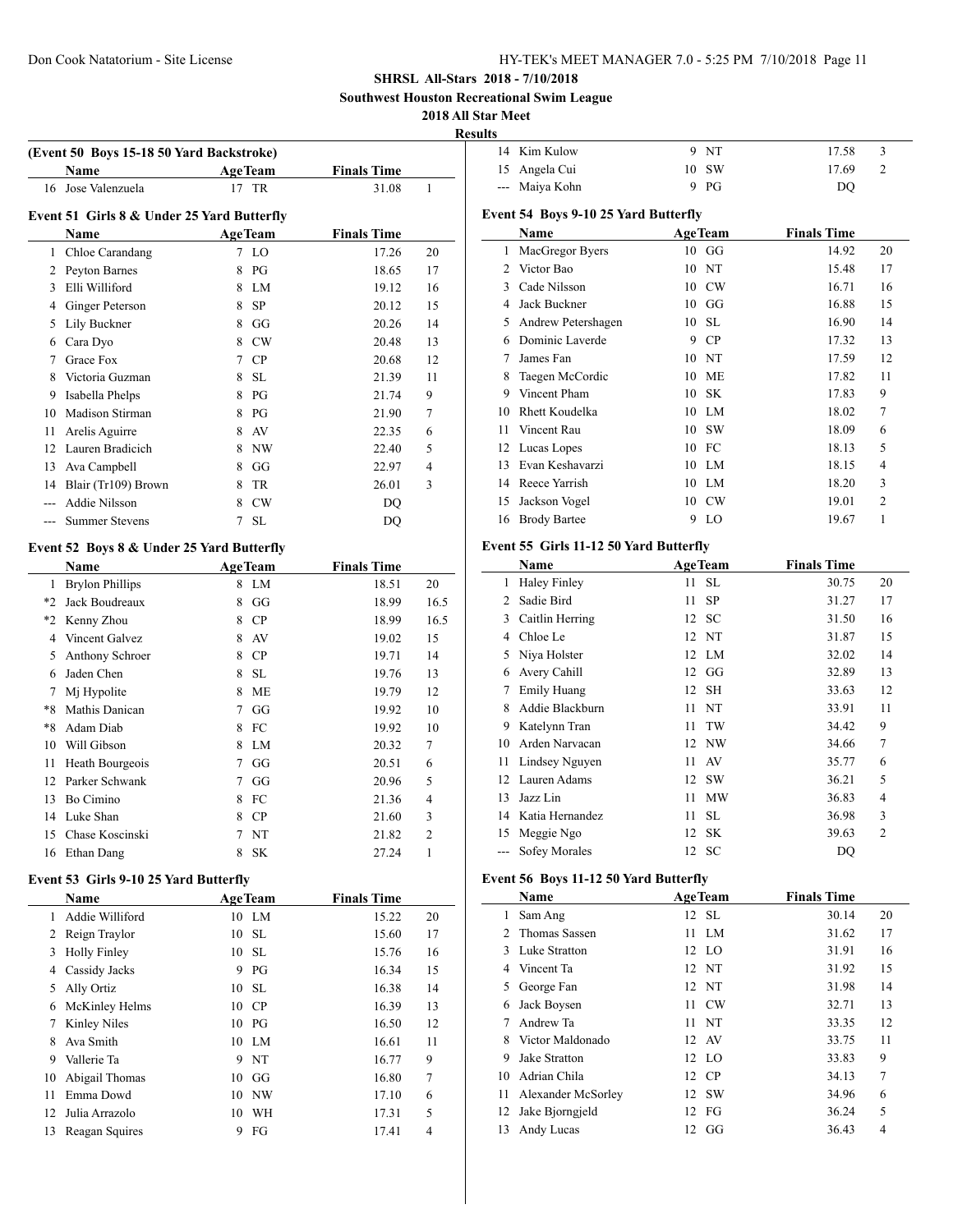**Southwest Houston Recreational Swim League**

#### **2018 All Star Meet**

|                |                                            |                 |                    |              | <b>Results</b> |
|----------------|--------------------------------------------|-----------------|--------------------|--------------|----------------|
|                | (Event 50 Boys 15-18 50 Yard Backstroke)   |                 |                    |              | 14             |
|                | Name                                       | <b>AgeTeam</b>  | <b>Finals Time</b> |              | 15             |
| 16             | Jose Valenzuela                            | 17 TR           | 31.08              | 1            |                |
|                | Event 51 Girls 8 & Under 25 Yard Butterfly |                 |                    |              | Even           |
|                | Name                                       | <b>AgeTeam</b>  | <b>Finals Time</b> |              |                |
| $\mathbf{1}$   | Chloe Carandang                            | 7 LO            | 17.26              | 20           | $\mathbf{1}$   |
|                | 2 Peyton Barnes                            | 8<br>PG         | 18.65              | 17           | $\overline{c}$ |
|                | 3 Elli Williford                           | LM<br>8         | 19.12              | 16           | 3              |
|                | 4 Ginger Peterson                          | <b>SP</b><br>8  | 20.12              | 15           | $\overline{4}$ |
| 5              | Lily Buckner                               | 8 GG            | 20.26              | 14           | 5              |
|                | 6 Cara Dyo                                 | 8 CW            | 20.48              | 13           | 6              |
|                | 7 Grace Fox                                | 7 CP            | 20.68              | 12           | 7              |
| 8              | Victoria Guzman                            | 8 SL            | 21.39              | 11           | 8              |
| 9              | Isabella Phelps                            | 8 PG            | 21.74              | 9            | 9              |
|                | 10 Madison Stirman                         | 8 PG            | 21.90              | 7            | 10             |
| 11             | Arelis Aguirre                             | 8 AV            | 22.35              | 6            | 11             |
|                | 12 Lauren Bradicich                        | 8 NW            | 22.40              | 5            | 12             |
|                | 13 Ava Campbell                            | GG<br>8         | 22.97              | 4            | 13             |
|                | 14 Blair (Tr109) Brown                     | TR<br>8         | 26.01              | 3            | 14             |
| ---            | Addie Nilsson                              | 8 CW            | DQ                 |              | 15             |
| ---            | <b>Summer Stevens</b>                      | 7<br>SL         | <b>DQ</b>          |              | 16             |
|                |                                            |                 |                    |              |                |
|                | Event 52 Boys 8 & Under 25 Yard Butterfly  |                 |                    |              | Even           |
|                | Name                                       | <b>AgeTeam</b>  | <b>Finals Time</b> |              |                |
|                | 1 Brylon Phillips                          | 8 LM            | 18.51              | 20           | 1              |
|                | *2 Jack Boudreaux                          | $8$ GG          | 18.99              | 16.5         | $\overline{c}$ |
|                | *2 Kenny Zhou                              | 8 CP            | 18.99              | 16.5         | 3              |
|                | 4 Vincent Galvez                           | 8 AV            | 19.02              | 15           | $\overline{4}$ |
| 5              | Anthony Schroer                            | 8 CP            | 19.71              | 14           | 5              |
| 6              | Jaden Chen                                 | 8 SL            | 19.76              | 13           | 6              |
| $7^{\circ}$    | Mj Hypolite                                | 8<br>ME         | 19.79              | 12           | 7              |
|                | *8 Mathis Danican                          | GG<br>7         | 19.92              | 10           | 8              |
| $*8$           | Adam Diab                                  | FC<br>8         | 19.92              | 10           | 9              |
| 10             | Will Gibson                                | LM<br>8         | 20.32              | 7            | 10             |
| 11             | Heath Bourgeois                            | GG<br>7         | 20.51              | 6            | 11             |
|                | 12 Parker Schwank                          | GG<br>7         | 20.96              | 5            | 12             |
| 13             | Bo Cimino                                  | FC<br>8         | 21.36              | 4            | 13             |
|                | 14 Luke Shan                               | <b>CP</b><br>8  | 21.60              | 3            | 14             |
|                | 15 Chase Koscinski                         | NT<br>7         | 21.82              | 2            | 15             |
|                | 16 Ethan Dang                              | 8<br><b>SK</b>  | 27.24              | $\mathbf{1}$ |                |
|                | Event 53 Girls 9-10 25 Yard Butterfly      |                 |                    |              | Even           |
|                | Name                                       | <b>AgeTeam</b>  | <b>Finals Time</b> |              |                |
| $\mathbf{1}$   | Addie Williford                            | 10 LM           | 15.22              | 20           | 1              |
| $\overline{2}$ | Reign Traylor                              | $\rm SL$<br>10  | 15.60              | 17           | 2              |
| 3              | <b>Holly Finley</b>                        | 10<br><b>SL</b> | 15.76              | 16           | 3              |
| 4              | Cassidy Jacks                              | 9 PG            | 16.34              | 15           | $\overline{4}$ |
| 5              | Ally Ortiz                                 | SL<br>10        | 16.38              | 14           | 5              |
| 6              | McKinley Helms                             | 10 CP           | 16.39              | 13           | 6              |
| 7              | Kinley Niles                               | 10<br>PG        | 16.50              | 12           | 7              |
| 8              | Ava Smith                                  | 10<br>LM        | 16.61              | 11           | 8              |
| 9              | Vallerie Ta                                | NT<br>9         | 16.77              | 9            | 9              |
| 10             | Abigail Thomas                             | 10<br>GG        | 16.80              | 7            | 10             |
| 11             | Emma Dowd                                  | 10<br><b>NW</b> | 17.10              | 6            | 11             |

 Julia Arrazolo 10 WH 17.31 5 13 Reagan Squires 9 FG 17.41 4

| 14 Kim Kulow   | 9 NT    | 17.58 |  |
|----------------|---------|-------|--|
| 15 Angela Cui  | $10$ SW | 17.69 |  |
| --- Maiya Kohn | $9$ PG  | DO    |  |

## **Event 54 Boys 9-10 25 Yard Butterfly**

|                | Name                                                   |    | <b>AgeTeam</b> | <b>Finals Time</b> |                |
|----------------|--------------------------------------------------------|----|----------------|--------------------|----------------|
| 1              | MacGregor Byers                                        |    | $10\quad G$    | 14.92              | 20             |
| $\mathfrak{D}$ | Victor Bao                                             |    | 10 NT          | 15.48              | 17             |
| 3              | Cade Nilsson                                           |    | 10 CW          | 16.71              | 16             |
| 4              | Jack Buckner                                           | 10 | GG             | 16.88              | 15             |
| 5              | Andrew Petershagen                                     | 10 | -SL            | 16.90              | 14             |
| 6              | Dominic Laverde                                        | 9  | CP             | 17.32              | 13             |
| 7              | James Fan                                              | 10 | NT             | 17.59              | 12             |
| 8              | Taegen McCordic                                        | 10 | ME             | 17.82              | 11             |
| 9              | Vincent Pham                                           |    | 10 SK          | 17.83              | 9              |
| 10             | Rhett Koudelka                                         |    | 10 LM          | 18.02              | 7              |
| 11             | Vincent Rau                                            |    | 10 SW          | 18.09              | 6              |
| 12             | Lucas Lopes                                            |    | 10 FC          | 18.13              | 5              |
| 13             | Evan Keshavarzi                                        | 10 | LM             | 18.15              | 4              |
| 14             | Reece Yarrish                                          |    | 10 LM          | 18.20              | 3              |
| 15             | Jackson Vogel                                          | 10 | CW             | 19.01              | $\overline{2}$ |
| 16             | <b>Brody Bartee</b>                                    | 9  | LO             | 19.67              | 1              |
|                | $\Gamma$ vant 55 $\Gamma$ irle 11-12 50 Vard Ruttorfly |    |                |                    |                |

# **Event 55 Girls 11-12 50 Yard Butterfly**

|               | Name                | <b>AgeTeam</b> |           | <b>Finals Time</b> |    |
|---------------|---------------------|----------------|-----------|--------------------|----|
| 1             | <b>Haley Finley</b> | 11             | -SL       | 30.75              | 20 |
| $\mathcal{L}$ | Sadie Bird          | 11             | <b>SP</b> | 31.27              | 17 |
| 3             | Caitlin Herring     |                | 12 SC     | 31.50              | 16 |
| 4             | Chloe Le            |                | 12 NT     | 31.87              | 15 |
| 5             | Niya Holster        |                | 12 LM     | 32.02              | 14 |
| 6             | Avery Cahill        | 12             | GG        | 32.89              | 13 |
| 7             | <b>Emily Huang</b>  |                | 12 SH     | 33.63              | 12 |
| 8             | Addie Blackburn     | 11             | NT        | 33.91              | 11 |
| 9             | Katelynn Tran       | 11             | TW        | 34.42              | 9  |
| 10            | Arden Narvacan      |                | 12 NW     | 34.66              | 7  |
| 11            | Lindsey Nguyen      | 11             | AV        | 35.77              | 6  |
| 12            | Lauren Adams        |                | 12 SW     | 36.21              | 5  |
| 13            | Jazz Lin            | 11             | <b>MW</b> | 36.83              | 4  |
| 14            | Katia Hernandez     | 11             | -SL       | 36.98              | 3  |
| 15            | Meggie Ngo          | 12             | -SK       | 39.63              | 2  |
|               | Sofey Morales       |                | 12 SC     | DQ                 |    |

# **Event 56 Boys 11-12 50 Yard Butterfly**

|    | Name               | <b>AgeTeam</b> | <b>Finals Time</b> |    |
|----|--------------------|----------------|--------------------|----|
| 1  | Sam Ang            | 12 SL          | 30.14              | 20 |
|    | 2 Thomas Sassen    | $11$ LM        | 31.62              | 17 |
| 3  | Luke Stratton      | 12 LO          | 31.91              | 16 |
| 4  | Vincent Ta         | 12 NT          | 31.92              | 15 |
| 5  | George Fan         | 12 NT          | 31.98              | 14 |
| 6  | Jack Boysen        | 11 CW          | 32.71              | 13 |
| 7  | Andrew Ta          | 11 NT          | 33.35              | 12 |
| 8  | Victor Maldonado   | 12 AV          | 33.75              | 11 |
| 9  | Jake Stratton      | 12 LO          | 33.83              | 9  |
| 10 | Adrian Chila       | 12 CP          | 34.13              | 7  |
| 11 | Alexander McSorley | 12 SW          | 34.96              | 6  |
| 12 | Jake Bjorngjeld    | 12 FG          | 36.24              | 5  |
| 13 | Andy Lucas         | $12 \text{ G}$ | 36.43              | 4  |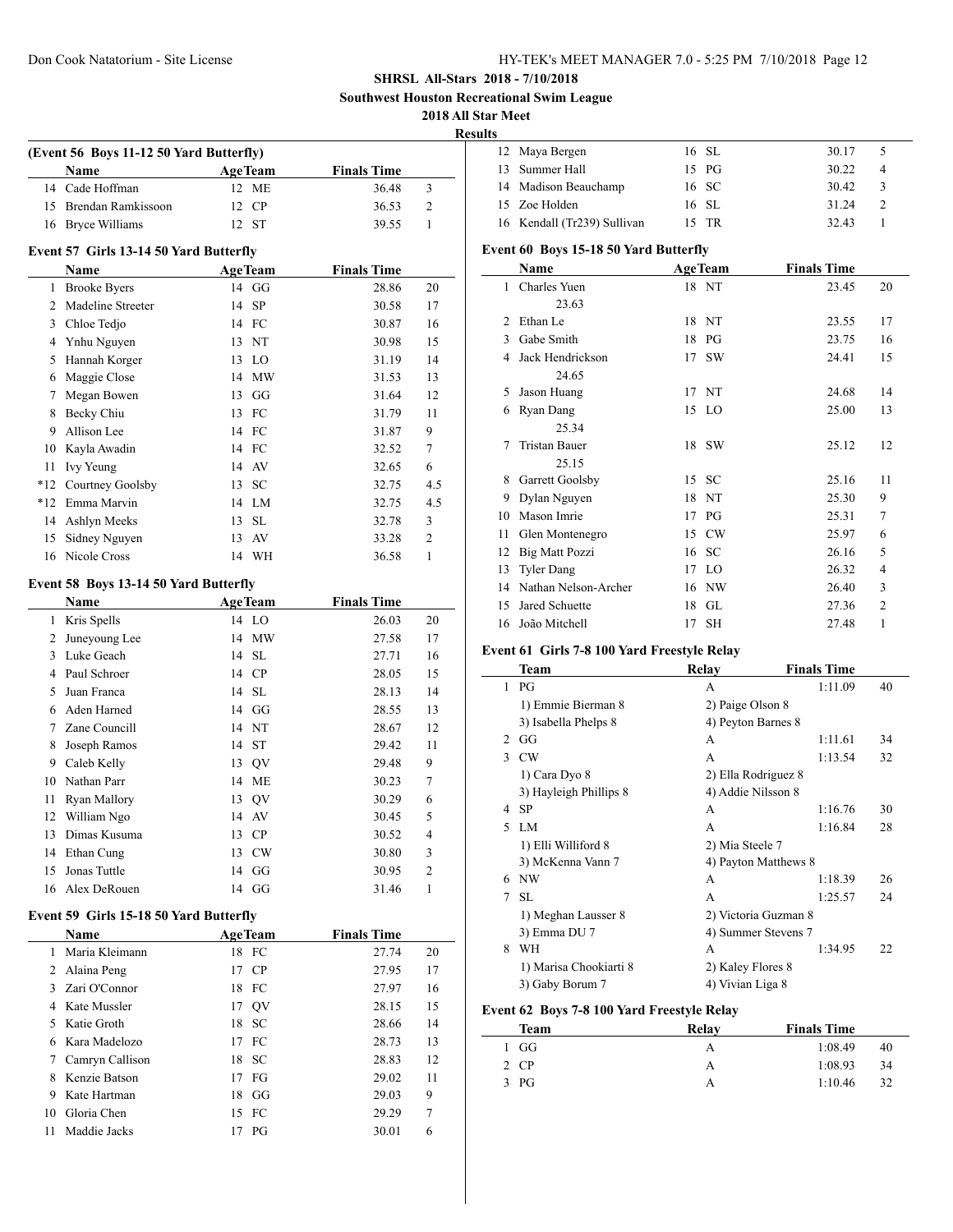$\overline{a}$ 

## **SHRSL All-Stars 2018 - 7/10/2018**

**Southwest Houston Recreational Swim League**

## **2018 All Star Meet**

**Results**

|                | (Event 56 Boys 11-12 50 Yard Butterfly)<br>Name | <b>AgeTeam</b>      | <b>Finals Time</b> |                |
|----------------|-------------------------------------------------|---------------------|--------------------|----------------|
| 14             | Cade Hoffman                                    | 12 ME               | 36.48              | 3              |
|                | 15 Brendan Ramkissoon                           | 12 CP               | 36.53              | $\overline{2}$ |
|                | 16 Bryce Williams                               | 12 ST               | 39.55              | $\mathbf{1}$   |
|                | Event 57 Girls 13-14 50 Yard Butterfly          |                     |                    |                |
|                | Name                                            | <b>AgeTeam</b>      | <b>Finals Time</b> |                |
|                | 1 Brooke Byers                                  | 14 GG               | 28.86              | 20             |
|                | 2 Madeline Streeter                             | 14<br>SP            | 30.58              | 17             |
|                | 3 Chloe Tedjo                                   | 14 FC               | 30.87              | 16             |
|                | 4 Ynhu Nguyen                                   | 13 NT               | 30.98              | 15             |
| 5              | Hannah Korger                                   | 13 LO               | 31.19              | 14             |
| 6              | Maggie Close                                    | 14 MW               | 31.53              | 13             |
| 7              | Megan Bowen                                     | 13 GG               | 31.64              | 12             |
| 8              | Becky Chiu                                      | 13 FC               | 31.79              | 11             |
| 9.             | Allison Lee                                     | 14 FC               | 31.87              | 9              |
|                | 10 Kayla Awadin                                 | 14 FC               | 32.52              | 7              |
| 11             | Ivy Yeung                                       | 14 AV               | 32.65              | 6              |
|                | *12 Courtney Goolsby                            | <sub>SC</sub><br>13 | 32.75              | 4.5            |
|                | *12 Emma Marvin                                 | 14 LM               | 32.75              | 4.5            |
|                | 14 Ashlyn Meeks                                 | SL<br>13            | 32.78              | 3              |
| 15             | Sidney Nguyen                                   | 13<br>AV            | 33.28              | 2              |
|                | 16 Nicole Cross                                 | 14 WH               | 36.58              | 1              |
|                | Event 58 Boys 13-14 50 Yard Butterfly           |                     |                    |                |
|                | Name                                            | <b>AgeTeam</b>      | <b>Finals Time</b> |                |
| $\mathbf{1}$   | Kris Spells                                     | 14 LO               | 26.03              | 20             |
| $\overline{2}$ | Juneyoung Lee                                   | 14 MW               | 27.58              | 17             |
|                | 3 Luke Geach                                    | 14 SL               | 27.71              | 16             |
|                | 4 Paul Schroer                                  | 14 CP               | 28.05              | 15             |
| 5              | Juan Franca                                     | 14 SL               | 28.13              | 14             |
|                | 6 Aden Harned                                   | 14 GG               | 28.55              | 13             |
|                | 7 Zane Councill                                 | 14 NT               | 28.67              | 12             |
| 8              | Joseph Ramos                                    | 14 ST               | 29.42              | 11             |
|                | 9 Caleb Kelly                                   | 13 QV               | 29.48              | 9              |
|                | 10 Nathan Parr                                  | 14 ME               | 30.23              | 7              |
| 11             | Ryan Mallory                                    | 13 QV               | 30.29              | 6              |
|                | 12 William Ngo                                  | 14 AV               | 30.45              | 5              |
|                | 13 Dimas Kusuma                                 | 13 CP               | 30.52              | 4              |
|                | 14 Ethan Cung                                   | 13 CW               | 30.80              | 3              |
| 15             | Jonas Tuttle                                    | 14 GG               | 30.95              | 2              |
|                | 16 Alex DeRouen                                 | 14 GG               | 31.46              | 1              |
|                |                                                 |                     |                    |                |
|                | Event 59 Girls 15-18 50 Yard Butterfly          |                     |                    |                |
|                | Name                                            | <b>AgeTeam</b>      | <b>Finals Time</b> |                |
|                | 1 Maria Kleimann                                | 18 FC               | 27.74              | 20             |
|                | 2 Alaina Peng                                   | 17 CP               | 27.95              | 17             |
|                | 3 Zari O'Connor                                 | 18 FC               | 27.97              | 16             |
|                | 4 Kate Mussler                                  | 17 QV               | 28.15              | 15             |
|                | 5 Katie Groth                                   | 18 SC               | 28.66              | 14             |
|                | 6 Kara Madelozo                                 | 17 FC               | 28.73              | 13             |
| 7              | Camryn Callison                                 | ${\rm SC}$<br>18    | 28.83              | 12             |
|                | 8 Kenzie Batson                                 | 17 FG               | 29.02              | 11             |
| 9.             | Kate Hartman                                    | 18 GG               | 29.03              | 9              |
|                | 10 Gloria Chen<br>Maddie Jacks                  | 15 FC               | 29.29              | 7              |

| 12 Maya Bergen              | 16 SL | 30.17<br>-5 |  |
|-----------------------------|-------|-------------|--|
| 13 Summer Hall              | 15 PG | 30.22<br>4  |  |
| 14 Madison Beauchamp        | 16 SC | 30.42<br>3  |  |
| 15 Zoe Holden               | 16 SL | 31.24<br>2  |  |
| 16 Kendall (Tr239) Sullivan | 15 TR | 32.43       |  |
|                             |       |             |  |

#### **Event 60 Boys 15-18 50 Yard Butterfly**

|    | Name                 |    | <b>AgeTeam</b> | <b>Finals Time</b> |                |
|----|----------------------|----|----------------|--------------------|----------------|
| 1  | Charles Yuen         |    | 18 NT          | 23.45              | 20             |
|    | 23.63                |    |                |                    |                |
| 2  | Ethan Le             |    | 18 NT          | 23.55              | 17             |
| 3  | Gabe Smith           | 18 | PG             | 23.75              | 16             |
| 4  | Jack Hendrickson     |    | 17 SW          | 24.41              | 15             |
|    | 24.65                |    |                |                    |                |
| 5  | Jason Huang          |    | 17 NT          | 24.68              | 14             |
| 6  | Ryan Dang            |    | 15 LO          | 25.00              | 13             |
|    | 25.34                |    |                |                    |                |
| 7  | Tristan Bauer        |    | 18 SW          | 25.12              | 12             |
|    | 25.15                |    |                |                    |                |
| 8  | Garrett Goolsby      |    | 15 SC          | 25.16              | 11             |
| 9  | Dylan Nguyen         | 18 | NT             | 25.30              | 9              |
| 10 | Mason Imrie          | 17 | PG             | 25.31              | 7              |
| 11 | Glen Montenegro      |    | 15 CW          | 25.97              | 6              |
| 12 | Big Matt Pozzi       | 16 | -SC            | 26.16              | 5              |
| 13 | <b>Tyler Dang</b>    | 17 | LO             | 26.32              | 4              |
| 14 | Nathan Nelson-Archer | 16 | NW             | 26.40              | 3              |
| 15 | Jared Schuette       | 18 | GL             | 27.36              | $\overline{2}$ |
| 16 | João Mitchell        | 17 | SН             | 27.48              | 1              |

# **Event 61 Girls 7-8 100 Yard Freestyle Relay**

|               | Team                   | Relav                | <b>Finals Time</b> |    |
|---------------|------------------------|----------------------|--------------------|----|
| 1             | PG                     | A                    | 1:11.09            | 40 |
|               | 1) Emmie Bierman 8     | 2) Paige Olson 8     |                    |    |
|               | 3) Isabella Phelps 8   | 4) Peyton Barnes 8   |                    |    |
| $\mathcal{D}$ | GG                     | A                    | 1:11.61            | 34 |
| 3             | CW                     | A                    | 1:13.54            | 32 |
|               | 1) Cara Dyo 8          | 2) Ella Rodriguez 8  |                    |    |
|               | 3) Hayleigh Phillips 8 | 4) Addie Nilsson 8   |                    |    |
| 4             | -SP                    | A                    | 1:16.76            | 30 |
| 5             | LM                     | A                    | 1:16.84            | 28 |
|               | 1) Elli Williford 8    | 2) Mia Steele 7      |                    |    |
|               | 3) McKenna Vann 7      | 4) Payton Matthews 8 |                    |    |
| 6             | <b>NW</b>              | A                    | 1:18.39            | 26 |
| 7             | SL.                    | A                    | 1:25.57            | 24 |
|               | 1) Meghan Lausser 8    | 2) Victoria Guzman 8 |                    |    |
|               | 3) Emma DU 7           | 4) Summer Stevens 7  |                    |    |
| 8             | WH                     | A                    | 1:34.95            | 22 |
|               | 1) Marisa Chookiarti 8 | 2) Kaley Flores 8    |                    |    |
|               | 3) Gaby Borum 7        | 4) Vivian Liga 8     |                    |    |

## **Event 62 Boys 7-8 100 Yard Freestyle Relay**

| Team   | Relav | <b>Finals Time</b> |    |
|--------|-------|--------------------|----|
| 1 GG   | А     | 1:08.49            | 40 |
| 2 CP   | А     | 1:08.93            | 34 |
| $3$ PG | А     | 1:10.46            | 32 |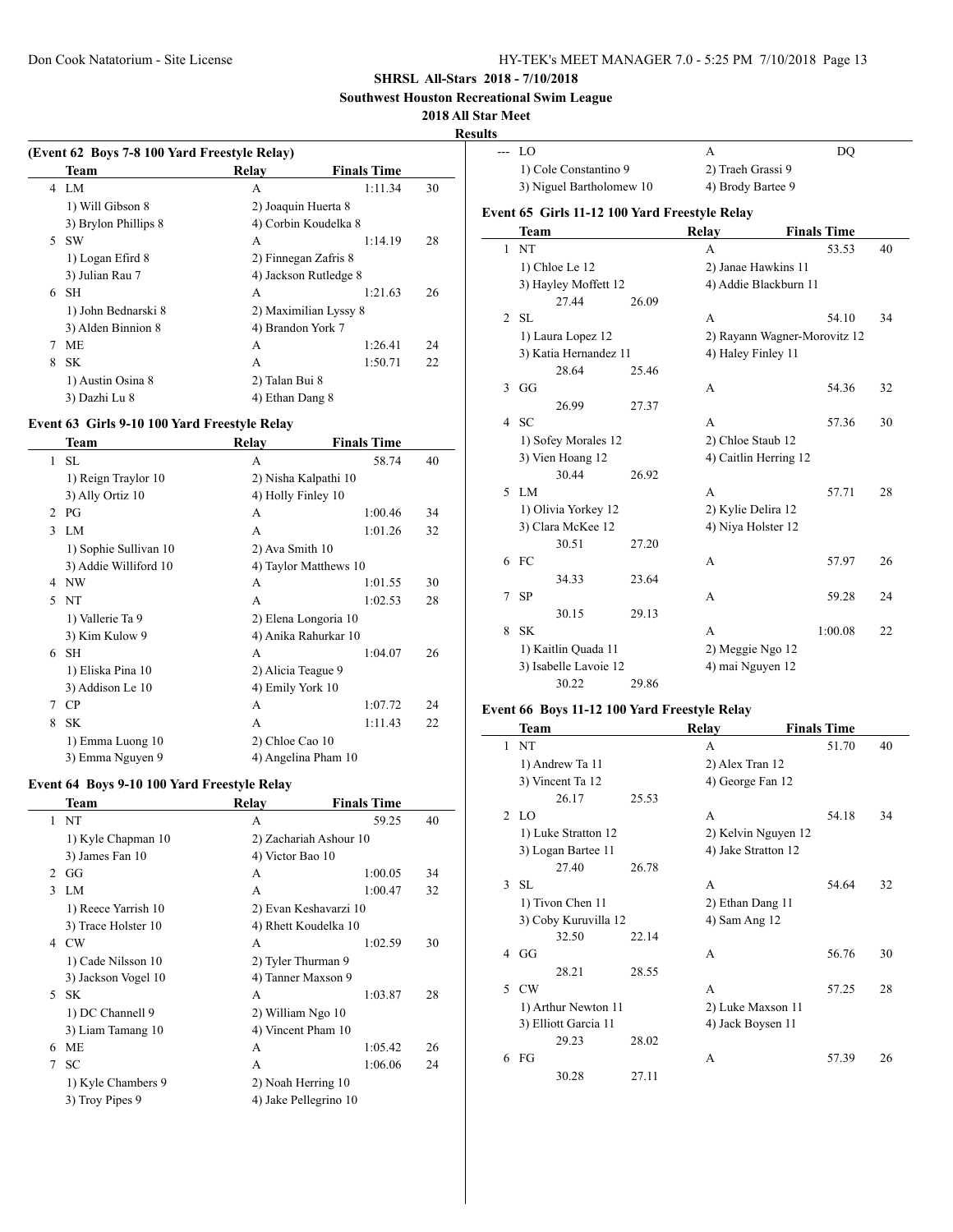**Southwest Houston Recreational Swim League**

## **2018 All Star Meet**

**Results**

 $\overline{\phantom{a}}$ 

|    | (Event 62 Boys 7-8 100 Yard Freestyle Relay) |                       |                    |    |  |  |
|----|----------------------------------------------|-----------------------|--------------------|----|--|--|
|    | Team                                         | Relay                 | <b>Finals Time</b> |    |  |  |
|    | 4 I.M                                        | A                     | 1:11.34            | 30 |  |  |
|    | 1) Will Gibson 8                             | 2) Joaquin Huerta 8   |                    |    |  |  |
|    | 3) Brylon Phillips 8                         | 4) Corbin Koudelka 8  |                    |    |  |  |
| 5. | <b>SW</b>                                    | A                     | 1:14.19            | 28 |  |  |
|    | 1) Logan Efird 8                             | 2) Finnegan Zafris 8  |                    |    |  |  |
|    | 3) Julian Rau 7                              | 4) Jackson Rutledge 8 |                    |    |  |  |
| 6  | <b>SH</b>                                    | A                     | 1:21.63            | 26 |  |  |
|    | 1) John Bednarski 8                          | 2) Maximilian Lyssy 8 |                    |    |  |  |
|    | 3) Alden Binnion 8                           | 4) Brandon York 7     |                    |    |  |  |
|    | <b>ME</b>                                    | A                     | 1:26.41            | 24 |  |  |
| 8  | SK.                                          | A                     | 1:50.71            | 22 |  |  |
|    | 1) Austin Osina 8                            | 2) Talan Bui 8        |                    |    |  |  |
|    | 3) Dazhi Lu 8                                | 4) Ethan Dang 8       |                    |    |  |  |
|    |                                              |                       |                    |    |  |  |

## **Event 63 Girls 9-10 100 Yard Freestyle Relay**

|                | Team                  | Relav                 | <b>Finals Time</b> |    |
|----------------|-----------------------|-----------------------|--------------------|----|
| 1              | SL.                   | A                     | 58.74              | 40 |
|                | 1) Reign Traylor 10   | 2) Nisha Kalpathi 10  |                    |    |
|                | 3) Ally Ortiz 10      | 4) Holly Finley 10    |                    |    |
| $\mathfrak{D}$ | PG                    | A                     | 1:00.46            | 34 |
| 3              | LM                    | A                     | 1:01.26            | 32 |
|                | 1) Sophie Sullivan 10 | 2) Ava Smith 10       |                    |    |
|                | 3) Addie Williford 10 | 4) Taylor Matthews 10 |                    |    |
| 4              | NW                    | A                     | 1:01.55            | 30 |
| 5              | NT                    | A                     | 1:02.53            | 28 |
|                | 1) Vallerie Ta 9      | 2) Elena Longoria 10  |                    |    |
|                | 3) Kim Kulow 9        | 4) Anika Rahurkar 10  |                    |    |
| 6              | <b>SH</b>             | A                     | 1:04.07            | 26 |
|                | 1) Eliska Pina 10     | 2) Alicia Teague 9    |                    |    |
|                | 3) Addison Le 10      | 4) Emily York 10      |                    |    |
| 7              | CP                    | A                     | 1:07.72            | 24 |
| 8              | <b>SK</b>             | A                     | 1:11.43            | 22 |
|                | 1) Emma Luong 10      | 2) Chloe Cao 10       |                    |    |
|                | 3) Emma Nguyen 9      | 4) Angelina Pham 10   |                    |    |
|                |                       |                       |                    |    |

#### **Event 64 Boys 9-10 100 Yard Freestyle Relay**

|                | Team                | Relay                 | <b>Finals Time</b>     |    |
|----------------|---------------------|-----------------------|------------------------|----|
| $\mathbf{1}$   | NT                  | A                     | 59.25                  | 40 |
|                | 1) Kyle Chapman 10  |                       | 2) Zachariah Ashour 10 |    |
|                | 3) James Fan 10     | 4) Victor Bao 10      |                        |    |
| $\mathfrak{D}$ | GG                  | A                     | 1:00.05                | 34 |
| 3              | LM                  | A                     | 1:00.47                | 32 |
|                | 1) Reece Yarrish 10 |                       | 2) Evan Keshavarzi 10  |    |
|                | 3) Trace Holster 10 | 4) Rhett Koudelka 10  |                        |    |
| 4              | CW                  | A                     | 1:02.59                | 30 |
|                | 1) Cade Nilsson 10  | 2) Tyler Thurman 9    |                        |    |
|                | 3) Jackson Vogel 10 | 4) Tanner Maxson 9    |                        |    |
|                | 5 SK                | A                     | 1:03.87                | 28 |
|                | 1) DC Channell 9    | 2) William Ngo 10     |                        |    |
|                | 3) Liam Tamang 10   | 4) Vincent Pham 10    |                        |    |
| 6              | <b>ME</b>           | A                     | 1:05.42                | 26 |
| 7              | <b>SC</b>           | A                     | 1:06.06                | 24 |
|                | 1) Kyle Chambers 9  | 2) Noah Herring 10    |                        |    |
|                | 3) Troy Pipes 9     | 4) Jake Pellegrino 10 |                        |    |
|                |                     |                       |                        |    |

| lts          |                                               |       |                     |                              |    |  |
|--------------|-----------------------------------------------|-------|---------------------|------------------------------|----|--|
|              | $- - 10$                                      |       | A                   | DQ                           |    |  |
|              | 1) Cole Constantino 9                         |       | 2) Traeh Grassi 9   |                              |    |  |
|              | 3) Niguel Bartholomew 10                      |       | 4) Brody Bartee 9   |                              |    |  |
|              | Event 65 Girls 11-12 100 Yard Freestyle Relay |       |                     |                              |    |  |
|              | <b>Team</b>                                   |       | <b>Relay</b>        | <b>Finals Time</b>           |    |  |
| $\mathbf{1}$ | <b>NT</b>                                     |       | А                   | 53.53                        | 40 |  |
|              | 1) Chloe Le 12                                |       | 2) Janae Hawkins 11 |                              |    |  |
|              | 3) Hayley Moffett 12                          |       |                     | 4) Addie Blackburn 11        |    |  |
|              | 27.44                                         | 26.09 |                     |                              |    |  |
|              | $2$ SL                                        |       | А                   | 54.10                        | 34 |  |
|              | 1) Laura Lopez 12                             |       |                     | 2) Rayann Wagner-Morovitz 12 |    |  |
|              | 3) Katia Hernandez 11                         |       | 4) Haley Finley 11  |                              |    |  |
|              | 28.64                                         | 25.46 |                     |                              |    |  |
| 3            | GG                                            |       | А                   | 54.36                        | 32 |  |
|              | 26.99                                         | 27.37 |                     |                              |    |  |
| 4            | <b>SC</b>                                     |       | A                   | 57.36                        | 30 |  |
|              | 1) Sofey Morales 12                           |       | 2) Chloe Staub 12   |                              |    |  |
|              | 3) Vien Hoang 12                              |       |                     | 4) Caitlin Herring 12        |    |  |
|              | 30.44                                         | 26.92 |                     |                              |    |  |
| 5            | LM                                            |       | A                   | 57.71                        | 28 |  |
|              | 1) Olivia Yorkey 12                           |       |                     | 2) Kylie Delira 12           |    |  |
|              | 3) Clara McKee 12                             |       | 4) Niya Holster 12  |                              |    |  |
|              | 30.51                                         | 27.20 |                     |                              |    |  |
|              | 6 FC                                          |       | A                   | 57.97                        | 26 |  |
|              | 34.33                                         | 23.64 |                     |                              |    |  |
| 7            | <b>SP</b>                                     |       | A                   | 59.28                        | 24 |  |
|              | 30.15                                         | 29.13 |                     |                              |    |  |
| 8            | <b>SK</b>                                     |       | А                   | 1:00.08                      | 22 |  |
|              | 1) Kaitlin Quada 11                           |       |                     | 2) Meggie Ngo 12             |    |  |
|              | 3) Isabelle Lavoie 12                         |       | 4) mai Nguyen 12    |                              |    |  |
|              | 30.22                                         | 29.86 |                     |                              |    |  |

## **Event 66 Boys 11-12 100 Yard Freestyle Relay**

|               | <b>Team</b>          |       | Relay               | <b>Finals Time</b> |       |    |
|---------------|----------------------|-------|---------------------|--------------------|-------|----|
|               | 1 N T                |       | A                   |                    | 51.70 | 40 |
|               | 1) Andrew Ta 11      |       | 2) Alex Tran 12     |                    |       |    |
|               | 3) Vincent Ta 12     |       | 4) George Fan 12    |                    |       |    |
|               | 26.17                | 25.53 |                     |                    |       |    |
|               | 2 LO                 |       | A                   |                    | 54.18 | 34 |
|               | 1) Luke Stratton 12  |       | 2) Kelvin Nguyen 12 |                    |       |    |
|               | 3) Logan Bartee 11   |       | 4) Jake Stratton 12 |                    |       |    |
|               | 27.40                | 26.78 |                     |                    |       |    |
| $\mathcal{F}$ | -SL                  |       | A                   |                    | 54.64 | 32 |
|               | 1) Tivon Chen 11     |       | 2) Ethan Dang 11    |                    |       |    |
|               | 3) Coby Kuruvilla 12 |       | 4) Sam Ang 12       |                    |       |    |
|               | 32.50                | 22.14 |                     |                    |       |    |
| 4             | GG                   |       | A                   |                    | 56.76 | 30 |
|               | 28.21                | 28.55 |                     |                    |       |    |
|               | 5 CW                 |       | A                   |                    | 57.25 | 28 |
|               | 1) Arthur Newton 11  |       | 2) Luke Maxson 11   |                    |       |    |
|               | 3) Elliott Garcia 11 |       | 4) Jack Boysen 11   |                    |       |    |
|               | 29.23                | 28.02 |                     |                    |       |    |
| 6             | FG                   |       | A                   |                    | 57.39 | 26 |
|               | 30.28                | 27.11 |                     |                    |       |    |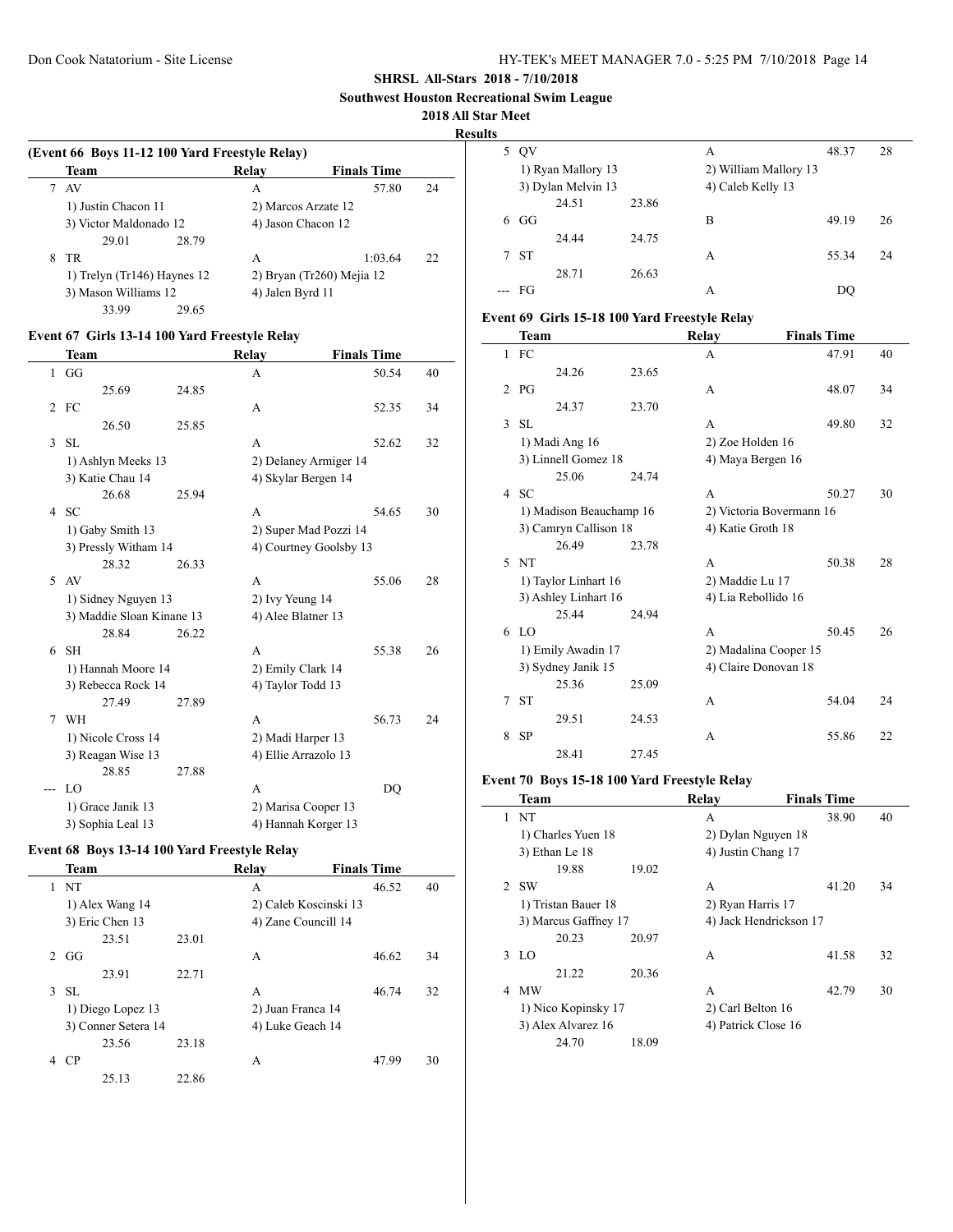**Southwest Houston Recreational Swim League**

#### **2018 All Star Meet**

**Result** 

|   | (Event 66 Boys 11-12 100 Yard Freestyle Relay)<br>Team | Relav            | <b>Finals Time</b>          |    |
|---|--------------------------------------------------------|------------------|-----------------------------|----|
|   | - AV                                                   | А                | 57.80                       | 24 |
|   | 1) Justin Chacon 11                                    |                  | 2) Marcos Arzate 12         |    |
|   | 3) Victor Maldonado 12                                 |                  | 4) Jason Chacon 12          |    |
|   | 29.01<br>28.79                                         |                  |                             |    |
| 8 | TR                                                     | A                | 1:03.64                     | 22 |
|   | 1) Trelyn (Tr146) Haynes 12                            |                  | 2) Bryan (Tr260) Mejia $12$ |    |
|   | 3) Mason Williams 12                                   | 4) Jalen Byrd 11 |                             |    |
|   | 33.99<br>29.65                                         |                  |                             |    |

## **Event 67 Girls 13-14 100 Yard Freestyle Relay**

 $\overline{a}$ 

 $\overline{a}$ 

|               | Team                      |       | Relay                  | <b>Finals Time</b> |    |
|---------------|---------------------------|-------|------------------------|--------------------|----|
| $\mathbf{1}$  | GG                        |       | A                      | 50.54              | 40 |
|               | 25.69                     | 24.85 |                        |                    |    |
|               | $2$ FC                    |       | A                      | 52.35              | 34 |
|               | 26.50                     | 25.85 |                        |                    |    |
| 3             | SL                        |       | A                      | 52.62              | 32 |
|               | 1) Ashlyn Meeks 13        |       | 2) Delaney Armiger 14  |                    |    |
|               | 3) Katie Chau 14          |       | 4) Skylar Bergen 14    |                    |    |
|               | 26.68                     | 25.94 |                        |                    |    |
| 4             | <b>SC</b>                 |       | A                      | 54.65              | 30 |
|               | 1) Gaby Smith 13          |       | 2) Super Mad Pozzi 14  |                    |    |
|               | 3) Pressly Witham 14      |       | 4) Courtney Goolsby 13 |                    |    |
|               | 28.32                     | 26.33 |                        |                    |    |
| $\mathcal{F}$ | AV                        |       | A                      | 55.06              | 28 |
|               | 1) Sidney Nguyen 13       |       | 2) Ivy Yeung 14        |                    |    |
|               | 3) Maddie Sloan Kinane 13 |       | 4) Alee Blatner 13     |                    |    |
|               | 28.84                     | 26.22 |                        |                    |    |
| 6             | <b>SH</b>                 |       | A                      | 55.38              | 26 |
|               | 1) Hannah Moore 14        |       | 2) Emily Clark 14      |                    |    |
|               | 3) Rebecca Rock 14        |       | 4) Taylor Todd 13      |                    |    |
|               | 27.49                     | 27.89 |                        |                    |    |
|               | 7 WH                      |       | A                      | 56.73              | 24 |
|               | 1) Nicole Cross 14        |       | 2) Madi Harper 13      |                    |    |
|               | 3) Reagan Wise 13         |       | 4) Ellie Arrazolo 13   |                    |    |
|               | 28.85                     | 27.88 |                        |                    |    |
| $---$         | LO                        |       | A                      | DO                 |    |
|               | 1) Grace Janik 13         |       | 2) Marisa Cooper 13    |                    |    |
|               | 3) Sophia Leal 13         |       | 4) Hannah Korger 13    |                    |    |

# **Event 68 Boys 13-14 100 Yard Freestyle Relay**

|             | Team                |       | Relay                 | <b>Finals Time</b> |    |
|-------------|---------------------|-------|-----------------------|--------------------|----|
|             | <b>NT</b>           |       | A                     | 46.52              | 40 |
|             | 1) Alex Wang 14     |       | 2) Caleb Koscinski 13 |                    |    |
|             | 3) Eric Chen 13     |       | 4) Zane Councill 14   |                    |    |
|             | 23.51               | 23.01 |                       |                    |    |
| $2^{\circ}$ | GG                  |       | A                     | 46.62              | 34 |
|             | 23.91               | 22.71 |                       |                    |    |
| 3           | -SL                 |       | A                     | 46.74              | 32 |
|             | 1) Diego Lopez 13   |       | 2) Juan Franca 14     |                    |    |
|             | 3) Conner Setera 14 |       | 4) Luke Geach 14      |                    |    |
|             | 23.56               | 23.18 |                       |                    |    |
| 4           | CP                  |       | A                     | 47.99              | 30 |
|             | 25.13               | 22.86 |                       |                    |    |

| lts |                    |                    |       |                       |       |    |
|-----|--------------------|--------------------|-------|-----------------------|-------|----|
| 5   | QV                 |                    |       | А                     | 48.37 | 28 |
|     |                    | 1) Ryan Mallory 13 |       | 2) William Mallory 13 |       |    |
|     | 3) Dylan Melvin 13 |                    |       | 4) Caleb Kelly 13     |       |    |
|     |                    | 24.51              | 23.86 |                       |       |    |
| 6   | GG                 |                    |       | B                     | 49.19 | 26 |
|     |                    | 24.44              | 24.75 |                       |       |    |
|     | 7 ST               |                    |       | A                     | 55.34 | 24 |
|     |                    | 28.71              | 26.63 |                       |       |    |
|     | - FG               |                    |       | А                     | DO    |    |

# **Event 69 Girls 15-18 100 Yard Freestyle Relay**

|                      | Team                    |       | Relay                    | <b>Finals Time</b> |    |  |  |
|----------------------|-------------------------|-------|--------------------------|--------------------|----|--|--|
|                      | $1$ FC                  |       | A                        | 47.91              | 40 |  |  |
|                      | 24.26                   | 23.65 |                          |                    |    |  |  |
| 2                    | PG                      |       | A                        | 48.07              | 34 |  |  |
|                      | 24.37                   | 23.70 |                          |                    |    |  |  |
| 3                    | <b>SL</b>               |       | A                        | 49.80              | 32 |  |  |
|                      | 1) Madi Ang 16          |       | 2) Zoe Holden 16         |                    |    |  |  |
|                      | 3) Linnell Gomez 18     |       | 4) Maya Bergen 16        |                    |    |  |  |
|                      | 25.06                   | 24.74 |                          |                    |    |  |  |
| $\overline{4}$       | <b>SC</b>               |       | A                        | 50.27              | 30 |  |  |
|                      | 1) Madison Beauchamp 16 |       | 2) Victoria Bovermann 16 |                    |    |  |  |
|                      | 3) Camryn Callison 18   |       | 4) Katie Groth 18        |                    |    |  |  |
|                      | 26.49                   | 23.78 |                          |                    |    |  |  |
| 5                    | <b>NT</b>               |       | A                        | 50.38              | 28 |  |  |
|                      | 1) Taylor Linhart 16    |       | 2) Maddie Lu 17          |                    |    |  |  |
| 3) Ashley Linhart 16 |                         |       | 4) Lia Rebollido 16      |                    |    |  |  |
|                      | 25.44                   | 24.94 |                          |                    |    |  |  |
| 6                    | LO                      |       | A                        | 50.45              | 26 |  |  |
|                      | 1) Emily Awadin 17      |       | 2) Madalina Cooper 15    |                    |    |  |  |
| 3) Sydney Janik 15   |                         |       | 4) Claire Donovan 18     |                    |    |  |  |
|                      | 25.36                   | 25.09 |                          |                    |    |  |  |
| 7                    | <b>ST</b>               |       | A                        | 54.04              | 24 |  |  |
|                      | 29.51                   | 24.53 |                          |                    |    |  |  |
| 8                    | <b>SP</b>               |       | A                        | 55.86              | 22 |  |  |
|                      | 28.41                   | 27.45 |                          |                    |    |  |  |

## **Event 70 Boys 15-18 100 Yard Freestyle Relay**

|   | <b>Team</b>          |       | Relay                  | <b>Finals Time</b> |    |
|---|----------------------|-------|------------------------|--------------------|----|
| 1 | NT                   |       | A                      | 38.90              | 40 |
|   | 1) Charles Yuen 18   |       | 2) Dylan Nguyen 18     |                    |    |
|   | 3) Ethan Le 18       |       | 4) Justin Chang 17     |                    |    |
|   | 19.88                | 19.02 |                        |                    |    |
|   | 2 SW                 |       | A                      | 41.20              | 34 |
|   | 1) Tristan Bauer 18  |       | 2) Ryan Harris 17      |                    |    |
|   | 3) Marcus Gaffney 17 |       | 4) Jack Hendrickson 17 |                    |    |
|   | 20.23                | 20.97 |                        |                    |    |
| 3 | LO                   |       | A                      | 41.58              | 32 |
|   | 21 22                | 20.36 |                        |                    |    |
| 4 | <b>MW</b>            |       | A                      | 42.79              | 30 |
|   | 1) Nico Kopinsky 17  |       | 2) Carl Belton 16      |                    |    |
|   | 3) Alex Alvarez 16   |       | 4) Patrick Close 16    |                    |    |
|   | 24.70                | 18.09 |                        |                    |    |